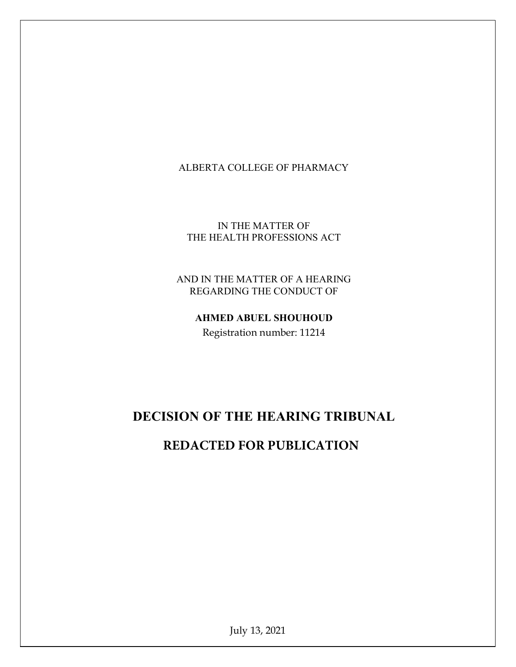## ALBERTA COLLEGE OF PHARMACY

IN THE MATTER OF THE HEALTH PROFESSIONS ACT

AND IN THE MATTER OF A HEARING REGARDING THE CONDUCT OF

AHMED ABUEL SHOUHOUD

Registration number: 11214

# DECISION OF THE HEARING TRIBUNAL

# **REDACTED FOR PUBLICATION**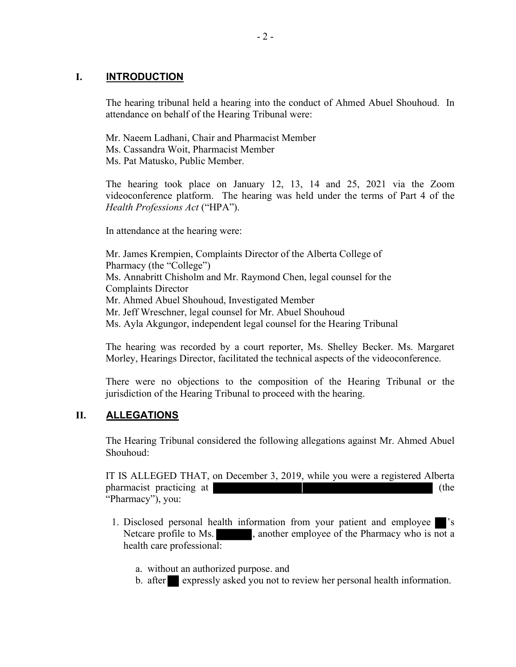## I. **INTRODUCTION**

The hearing tribunal held a hearing into the conduct of Ahmed Abuel Shouhoud. In attendance on behalf of the Hearing Tribunal were:

Mr. Naeem Ladhani, Chair and Pharmacist Member Ms. Cassandra Woit, Pharmacist Member Ms. Pat Matusko, Public Member.

The hearing took place on January 12, 13, 14 and 25, 2021 via the Zoom videoconference platform. The hearing was held under the terms of Part 4 of the Health Professions Act ("HPA").

In attendance at the hearing were:

Mr. James Krempien, Complaints Director of the Alberta College of Pharmacy (the "College") Ms. Annabritt Chisholm and Mr. Raymond Chen, legal counsel for the Complaints Director Mr. Ahmed Abuel Shouhoud, Investigated Member Mr. Jeff Wreschner, legal counsel for Mr. Abuel Shouhoud Ms. Ayla Akgungor, independent legal counsel for the Hearing Tribunal

The hearing was recorded by a court reporter, Ms. Shelley Becker. Ms. Margaret Morley, Hearings Director, facilitated the technical aspects of the videoconference.

There were no objections to the composition of the Hearing Tribunal or the jurisdiction of the Hearing Tribunal to proceed with the hearing.

## II. ALLEGATIONS

The Hearing Tribunal considered the following allegations against Mr. Ahmed Abuel Shouhoud:

IT IS ALLEGED THAT, on December 3, 2019, while you were a registered Alberta pharmacist practicing at (the "Pharmacy"), you:

- 1. Disclosed personal health information from your patient and employee 's Netcare profile to Ms.  $\blacksquare$ , another employee of the Pharmacy who is not a health care professional:
	- a. without an authorized purpose. and
	- b. after expressly asked you not to review her personal health information.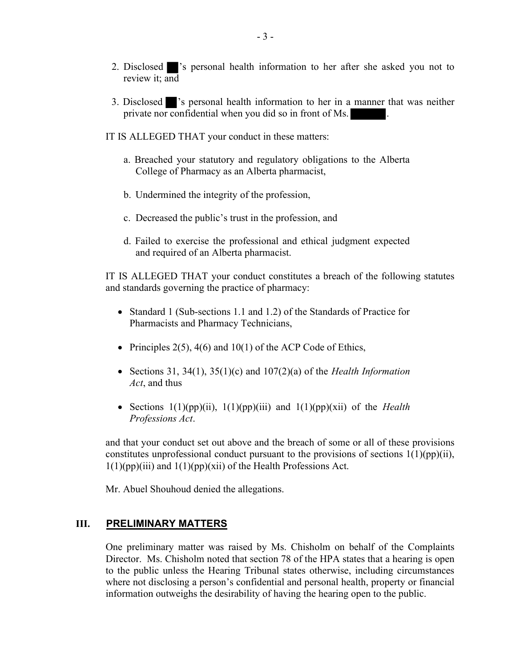- 2. Disclosed 's personal health information to her after she asked you not to review it; and
- 3. Disclosed 's personal health information to her in a manner that was neither private nor confidential when you did so in front of Ms. .
- IT IS ALLEGED THAT your conduct in these matters:
	- a. Breached your statutory and regulatory obligations to the Alberta College of Pharmacy as an Alberta pharmacist,
	- b. Undermined the integrity of the profession,
	- c. Decreased the public's trust in the profession, and
	- d. Failed to exercise the professional and ethical judgment expected and required of an Alberta pharmacist.

IT IS ALLEGED THAT your conduct constitutes a breach of the following statutes and standards governing the practice of pharmacy:

- Standard 1 (Sub-sections 1.1 and 1.2) of the Standards of Practice for Pharmacists and Pharmacy Technicians,
- Principles  $2(5)$ ,  $4(6)$  and  $10(1)$  of the ACP Code of Ethics,
- Sections 31, 34(1), 35(1)(c) and 107(2)(a) of the *Health Information* Act, and thus
- Sections  $1(1)(pp)(ii)$ ,  $1(1)(pp)(iii)$  and  $1(1)(pp)(xii)$  of the *Health* Professions Act.

and that your conduct set out above and the breach of some or all of these provisions constitutes unprofessional conduct pursuant to the provisions of sections  $1(1)(pp)(ii)$ ,  $1(1)(pp)(iii)$  and  $1(1)(pp)(xii)$  of the Health Professions Act.

Mr. Abuel Shouhoud denied the allegations.

## III. PRELIMINARY MATTERS

One preliminary matter was raised by Ms. Chisholm on behalf of the Complaints Director. Ms. Chisholm noted that section 78 of the HPA states that a hearing is open to the public unless the Hearing Tribunal states otherwise, including circumstances where not disclosing a person's confidential and personal health, property or financial information outweighs the desirability of having the hearing open to the public.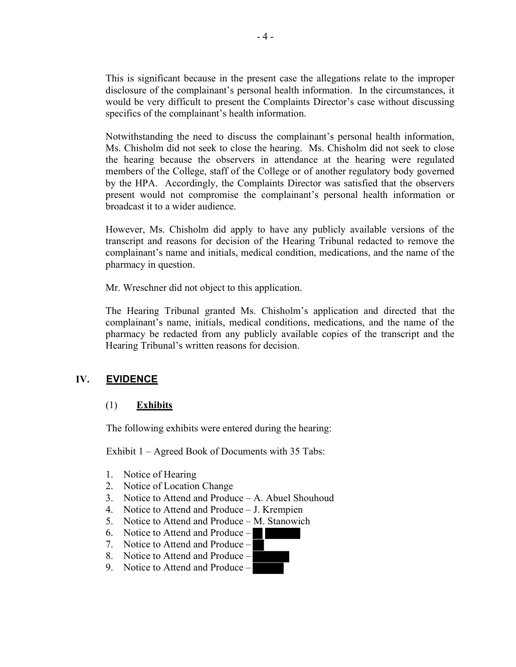This is significant because in the present case the allegations relate to the improper disclosure of the complainant's personal health information. In the circumstances, it would be very difficult to present the Complaints Director's case without discussing specifics of the complainant's health information.

Notwithstanding the need to discuss the complainant's personal health information, Ms. Chisholm did not seek to close the hearing. Ms. Chisholm did not seek to close the hearing because the observers in attendance at the hearing were regulated members of the College, staff of the College or of another regulatory body governed by the HPA. Accordingly, the Complaints Director was satisfied that the observers present would not compromise the complainant's personal health information or broadcast it to a wider audience.

However, Ms. Chisholm did apply to have any publicly available versions of the transcript and reasons for decision of the Hearing Tribunal redacted to remove the complainant's name and initials, medical condition, medications, and the name of the pharmacy in question.

Mr. Wreschner did not object to this application.

The Hearing Tribunal granted Ms. Chisholm's application and directed that the complainant's name, initials, medical conditions, medications, and the name of the pharmacy be redacted from any publicly available copies of the transcript and the Hearing Tribunal's written reasons for decision.

## IV. EVIDENCE

## (1) Exhibits

The following exhibits were entered during the hearing:

Exhibit 1 – Agreed Book of Documents with 35 Tabs:

- 1. Notice of Hearing
- 2. Notice of Location Change
- 3. Notice to Attend and Produce A. Abuel Shouhoud
- 4. Notice to Attend and Produce J. Krempien
- 5. Notice to Attend and Produce M. Stanowich
- 6. Notice to Attend and Produce –
- 7. Notice to Attend and Produce –
- 8. Notice to Attend and Produce –
- 9. Notice to Attend and Produce –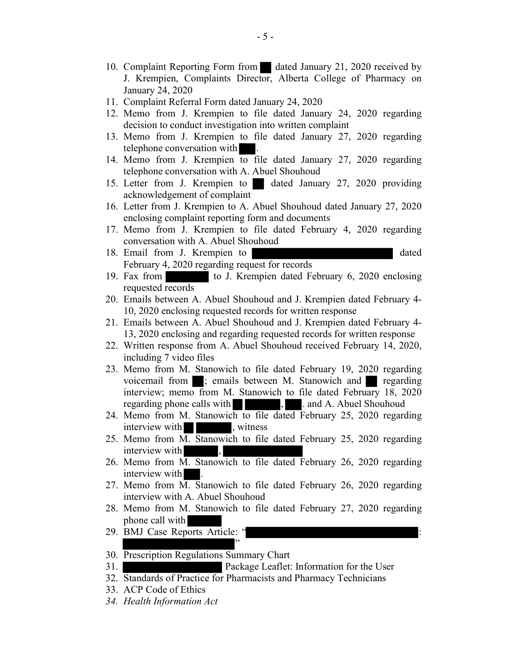- 10. Complaint Reporting Form from dated January 21, 2020 received by J. Krempien, Complaints Director, Alberta College of Pharmacy on January 24, 2020
- 11. Complaint Referral Form dated January 24, 2020
- 12. Memo from J. Krempien to file dated January 24, 2020 regarding decision to conduct investigation into written complaint
- 13. Memo from J. Krempien to file dated January 27, 2020 regarding telephone conversation with .
- 14. Memo from J. Krempien to file dated January 27, 2020 regarding telephone conversation with A. Abuel Shouhoud
- 15. Letter from J. Krempien to dated January 27, 2020 providing acknowledgement of complaint
- 16. Letter from J. Krempien to A. Abuel Shouhoud dated January 27, 2020 enclosing complaint reporting form and documents
- 17. Memo from J. Krempien to file dated February 4, 2020 regarding conversation with A. Abuel Shouhoud
- 18. Email from J. Krempien to dated February 4, 2020 regarding request for records
- 19. Fax from to J. Krempien dated February 6, 2020 enclosing requested records
- 20. Emails between A. Abuel Shouhoud and J. Krempien dated February 4- 10, 2020 enclosing requested records for written response
- 21. Emails between A. Abuel Shouhoud and J. Krempien dated February 4- 13, 2020 enclosing and regarding requested records for written response
- 22. Written response from A. Abuel Shouhoud received February 14, 2020, including 7 video files
- 23. Memo from M. Stanowich to file dated February 19, 2020 regarding voicemail from ; emails between M. Stanowich and regarding interview; memo from M. Stanowich to file dated February 18, 2020 regarding phone calls with  $\blacksquare$ , . and A. Abuel Shouhoud
- 24. Memo from M. Stanowich to file dated February 25, 2020 regarding interview with  $\vert$ , witness
- 25. Memo from M. Stanowich to file dated February 25, 2020 regarding interview with
- 26. Memo from M. Stanowich to file dated February 26, 2020 regarding interview with .
- 27. Memo from M. Stanowich to file dated February 26, 2020 regarding interview with A. Abuel Shouhoud
- 28. Memo from M. Stanowich to file dated February 27, 2020 regarding phone call with
- 29. BMJ Case Reports Article: " "
- 30. Prescription Regulations Summary Chart
- 31. Package Leaflet: Information for the User
- 32. Standards of Practice for Pharmacists and Pharmacy Technicians
- 33. ACP Code of Ethics
- 34. Health Information Act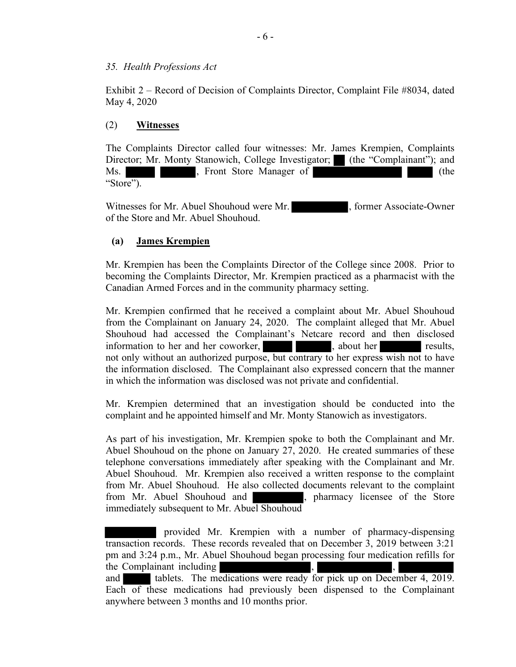#### 35. Health Professions Act

Exhibit 2 – Record of Decision of Complaints Director, Complaint File #8034, dated May 4, 2020

## (2) Witnesses

The Complaints Director called four witnesses: Mr. James Krempien, Complaints Director; Mr. Monty Stanowich, College Investigator; (the "Complainant"); and Ms. Show The Manager of The Contract of the Contract of the Contract of the Contract of the Contract of the Contract of the Contract of the Contract of the Contract of the Contract of the Contract of the Contract of the Co "Store").

Witnesses for Mr. Abuel Shouhoud were Mr.  $\bullet$ , former Associate-Owner of the Store and Mr. Abuel Shouhoud.

## (a) James Krempien

Mr. Krempien has been the Complaints Director of the College since 2008. Prior to becoming the Complaints Director, Mr. Krempien practiced as a pharmacist with the Canadian Armed Forces and in the community pharmacy setting.

Mr. Krempien confirmed that he received a complaint about Mr. Abuel Shouhoud from the Complainant on January 24, 2020. The complaint alleged that Mr. Abuel Shouhoud had accessed the Complainant's Netcare record and then disclosed information to her and her coworker, here is about her results, not only without an authorized purpose, but contrary to her express wish not to have the information disclosed. The Complainant also expressed concern that the manner in which the information was disclosed was not private and confidential.

Mr. Krempien determined that an investigation should be conducted into the complaint and he appointed himself and Mr. Monty Stanowich as investigators.

As part of his investigation, Mr. Krempien spoke to both the Complainant and Mr. Abuel Shouhoud on the phone on January 27, 2020. He created summaries of these telephone conversations immediately after speaking with the Complainant and Mr. Abuel Shouhoud. Mr. Krempien also received a written response to the complaint from Mr. Abuel Shouhoud. He also collected documents relevant to the complaint from Mr. Abuel Shouhoud and , pharmacy licensee of the Store immediately subsequent to Mr. Abuel Shouhoud

 provided Mr. Krempien with a number of pharmacy-dispensing transaction records. These records revealed that on December 3, 2019 between 3:21 pm and 3:24 p.m., Mr. Abuel Shouhoud began processing four medication refills for the Complainant including

and tablets. The medications were ready for pick up on December 4, 2019. Each of these medications had previously been dispensed to the Complainant anywhere between 3 months and 10 months prior.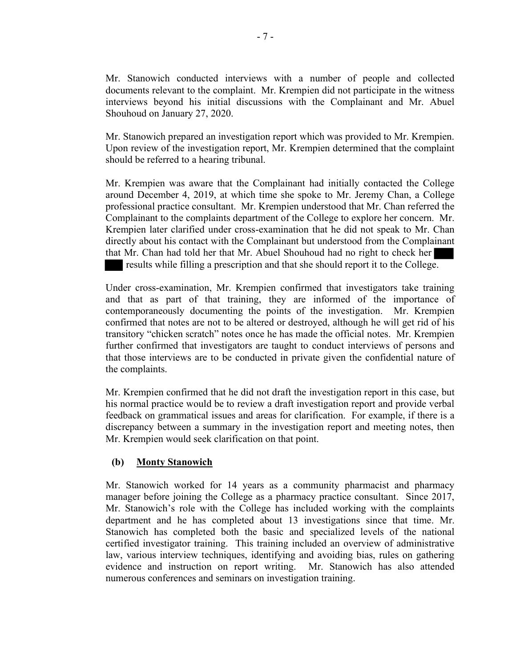Mr. Stanowich conducted interviews with a number of people and collected documents relevant to the complaint. Mr. Krempien did not participate in the witness interviews beyond his initial discussions with the Complainant and Mr. Abuel Shouhoud on January 27, 2020.

Mr. Stanowich prepared an investigation report which was provided to Mr. Krempien. Upon review of the investigation report, Mr. Krempien determined that the complaint should be referred to a hearing tribunal.

Mr. Krempien was aware that the Complainant had initially contacted the College around December 4, 2019, at which time she spoke to Mr. Jeremy Chan, a College professional practice consultant. Mr. Krempien understood that Mr. Chan referred the Complainant to the complaints department of the College to explore her concern. Mr. Krempien later clarified under cross-examination that he did not speak to Mr. Chan directly about his contact with the Complainant but understood from the Complainant that Mr. Chan had told her that Mr. Abuel Shouhoud had no right to check her results while filling a prescription and that she should report it to the College.

Under cross-examination, Mr. Krempien confirmed that investigators take training and that as part of that training, they are informed of the importance of contemporaneously documenting the points of the investigation. Mr. Krempien confirmed that notes are not to be altered or destroyed, although he will get rid of his transitory "chicken scratch" notes once he has made the official notes. Mr. Krempien further confirmed that investigators are taught to conduct interviews of persons and that those interviews are to be conducted in private given the confidential nature of the complaints.

Mr. Krempien confirmed that he did not draft the investigation report in this case, but his normal practice would be to review a draft investigation report and provide verbal feedback on grammatical issues and areas for clarification. For example, if there is a discrepancy between a summary in the investigation report and meeting notes, then Mr. Krempien would seek clarification on that point.

## (b) Monty Stanowich

Mr. Stanowich worked for 14 years as a community pharmacist and pharmacy manager before joining the College as a pharmacy practice consultant. Since 2017, Mr. Stanowich's role with the College has included working with the complaints department and he has completed about 13 investigations since that time. Mr. Stanowich has completed both the basic and specialized levels of the national certified investigator training. This training included an overview of administrative law, various interview techniques, identifying and avoiding bias, rules on gathering evidence and instruction on report writing. Mr. Stanowich has also attended numerous conferences and seminars on investigation training.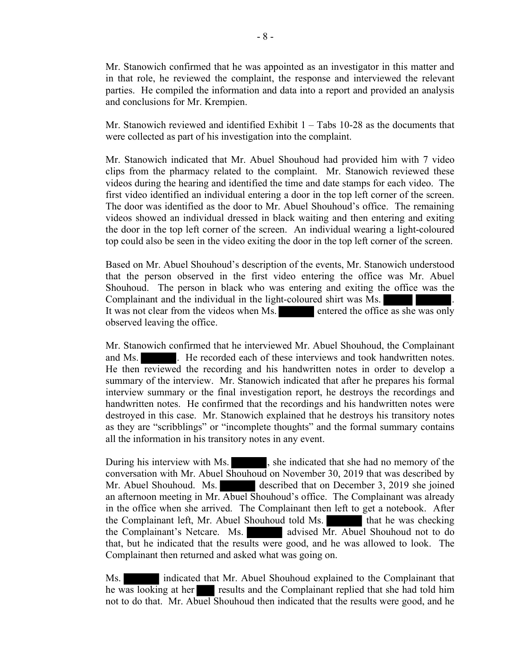Mr. Stanowich confirmed that he was appointed as an investigator in this matter and in that role, he reviewed the complaint, the response and interviewed the relevant parties. He compiled the information and data into a report and provided an analysis and conclusions for Mr. Krempien.

Mr. Stanowich reviewed and identified Exhibit  $1 -$ Tabs 10-28 as the documents that were collected as part of his investigation into the complaint.

Mr. Stanowich indicated that Mr. Abuel Shouhoud had provided him with 7 video clips from the pharmacy related to the complaint. Mr. Stanowich reviewed these videos during the hearing and identified the time and date stamps for each video. The first video identified an individual entering a door in the top left corner of the screen. The door was identified as the door to Mr. Abuel Shouhoud's office. The remaining videos showed an individual dressed in black waiting and then entering and exiting the door in the top left corner of the screen. An individual wearing a light-coloured top could also be seen in the video exiting the door in the top left corner of the screen.

Based on Mr. Abuel Shouhoud's description of the events, Mr. Stanowich understood that the person observed in the first video entering the office was Mr. Abuel Shouhoud. The person in black who was entering and exiting the office was the Complainant and the individual in the light-coloured shirt was Ms. It was not clear from the videos when Ms. entered the office as she was only observed leaving the office.

Mr. Stanowich confirmed that he interviewed Mr. Abuel Shouhoud, the Complainant and Ms.  $\blacksquare$ . He recorded each of these interviews and took handwritten notes. He then reviewed the recording and his handwritten notes in order to develop a summary of the interview. Mr. Stanowich indicated that after he prepares his formal interview summary or the final investigation report, he destroys the recordings and handwritten notes. He confirmed that the recordings and his handwritten notes were destroyed in this case. Mr. Stanowich explained that he destroys his transitory notes as they are "scribblings" or "incomplete thoughts" and the formal summary contains all the information in his transitory notes in any event.

During his interview with Ms.  $\blacksquare$ , she indicated that she had no memory of the conversation with Mr. Abuel Shouhoud on November 30, 2019 that was described by Mr. Abuel Shouhoud. Ms. described that on December 3, 2019 she joined an afternoon meeting in Mr. Abuel Shouhoud's office. The Complainant was already in the office when she arrived. The Complainant then left to get a notebook. After the Complainant left, Mr. Abuel Shouhoud told Ms. that he was checking the Complainant's Netcare. Ms. advised Mr. Abuel Shouhoud not to do that, but he indicated that the results were good, and he was allowed to look. The Complainant then returned and asked what was going on.

Ms. **indicated that Mr. Abuel Shouhoud explained to the Complainant that** he was looking at her results and the Complainant replied that she had told him not to do that. Mr. Abuel Shouhoud then indicated that the results were good, and he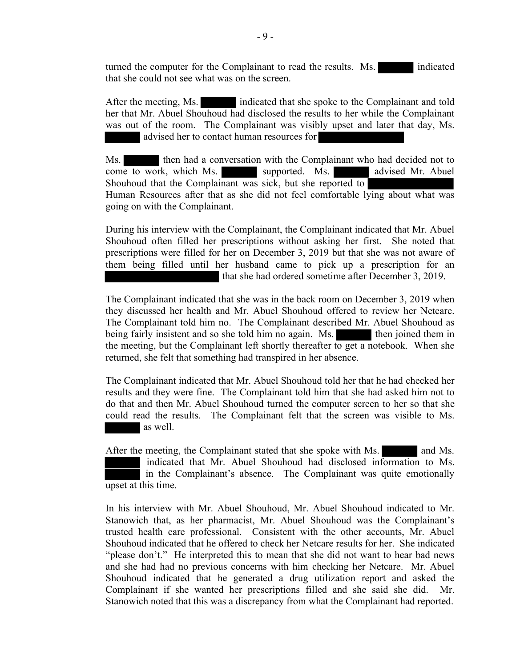turned the computer for the Complainant to read the results. Ms. indicated that she could not see what was on the screen.

After the meeting, Ms. indicated that she spoke to the Complainant and told her that Mr. Abuel Shouhoud had disclosed the results to her while the Complainant was out of the room. The Complainant was visibly upset and later that day, Ms. advised her to contact human resources for

Ms. then had a conversation with the Complainant who had decided not to come to work, which Ms. supported. Ms. advised Mr. Abuel Shouhoud that the Complainant was sick, but she reported to Human Resources after that as she did not feel comfortable lying about what was going on with the Complainant.

During his interview with the Complainant, the Complainant indicated that Mr. Abuel Shouhoud often filled her prescriptions without asking her first. She noted that prescriptions were filled for her on December 3, 2019 but that she was not aware of them being filled until her husband came to pick up a prescription for an that she had ordered sometime after December 3, 2019.

The Complainant indicated that she was in the back room on December 3, 2019 when they discussed her health and Mr. Abuel Shouhoud offered to review her Netcare. The Complainant told him no. The Complainant described Mr. Abuel Shouhoud as being fairly insistent and so she told him no again. Ms. then joined them in the meeting, but the Complainant left shortly thereafter to get a notebook. When she returned, she felt that something had transpired in her absence.

The Complainant indicated that Mr. Abuel Shouhoud told her that he had checked her results and they were fine. The Complainant told him that she had asked him not to do that and then Mr. Abuel Shouhoud turned the computer screen to her so that she could read the results. The Complainant felt that the screen was visible to Ms. as well.

After the meeting, the Complainant stated that she spoke with Ms. and Ms. indicated that Mr. Abuel Shouhoud had disclosed information to Ms. in the Complainant's absence. The Complainant was quite emotionally upset at this time.

In his interview with Mr. Abuel Shouhoud, Mr. Abuel Shouhoud indicated to Mr. Stanowich that, as her pharmacist, Mr. Abuel Shouhoud was the Complainant's trusted health care professional. Consistent with the other accounts, Mr. Abuel Shouhoud indicated that he offered to check her Netcare results for her. She indicated "please don't." He interpreted this to mean that she did not want to hear bad news and she had had no previous concerns with him checking her Netcare. Mr. Abuel Shouhoud indicated that he generated a drug utilization report and asked the Complainant if she wanted her prescriptions filled and she said she did. Mr. Stanowich noted that this was a discrepancy from what the Complainant had reported.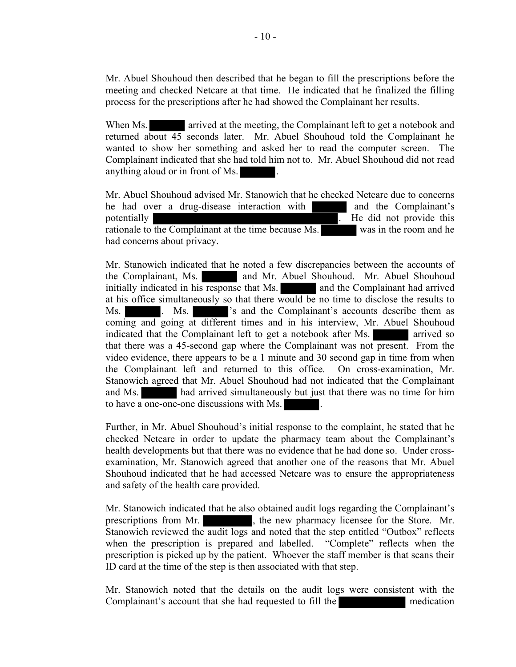Mr. Abuel Shouhoud then described that he began to fill the prescriptions before the meeting and checked Netcare at that time. He indicated that he finalized the filling process for the prescriptions after he had showed the Complainant her results.

When Ms. **arrived at the meeting, the Complainant left to get a notebook and** returned about 45 seconds later. Mr. Abuel Shouhoud told the Complainant he wanted to show her something and asked her to read the computer screen. The Complainant indicated that she had told him not to. Mr. Abuel Shouhoud did not read anything aloud or in front of Ms.

Mr. Abuel Shouhoud advised Mr. Stanowich that he checked Netcare due to concerns he had over a drug-disease interaction with and the Complainant's potentially **provide the set of the set of the set of the set of the set of the set of the set of the set of the set of the set of the set of the set of the set of the set of the set of the set of the set of the set of the** rationale to the Complainant at the time because Ms. was in the room and he had concerns about privacy.

Mr. Stanowich indicated that he noted a few discrepancies between the accounts of the Complainant, Ms. **and Mr. Abuel Shouhoud.** Mr. Abuel Shouhoud initially indicated in his response that Ms. and the Complainant had arrived at his office simultaneously so that there would be no time to disclose the results to Ms. Ms. Ms.  $\cdot$  Ms is and the Complainant's accounts describe them as coming and going at different times and in his interview, Mr. Abuel Shouhoud indicated that the Complainant left to get a notebook after Ms. arrived so that there was a 45-second gap where the Complainant was not present. From the video evidence, there appears to be a 1 minute and 30 second gap in time from when the Complainant left and returned to this office. On cross-examination, Mr. Stanowich agreed that Mr. Abuel Shouhoud had not indicated that the Complainant and Ms. had arrived simultaneously but just that there was no time for him to have a one-one-one discussions with Ms.

Further, in Mr. Abuel Shouhoud's initial response to the complaint, he stated that he checked Netcare in order to update the pharmacy team about the Complainant's health developments but that there was no evidence that he had done so. Under crossexamination, Mr. Stanowich agreed that another one of the reasons that Mr. Abuel Shouhoud indicated that he had accessed Netcare was to ensure the appropriateness and safety of the health care provided.

Mr. Stanowich indicated that he also obtained audit logs regarding the Complainant's prescriptions from Mr.  $\blacksquare$ , the new pharmacy licensee for the Store. Mr. Stanowich reviewed the audit logs and noted that the step entitled "Outbox" reflects when the prescription is prepared and labelled. "Complete" reflects when the prescription is picked up by the patient. Whoever the staff member is that scans their ID card at the time of the step is then associated with that step.

Mr. Stanowich noted that the details on the audit logs were consistent with the Complainant's account that she had requested to fill the medication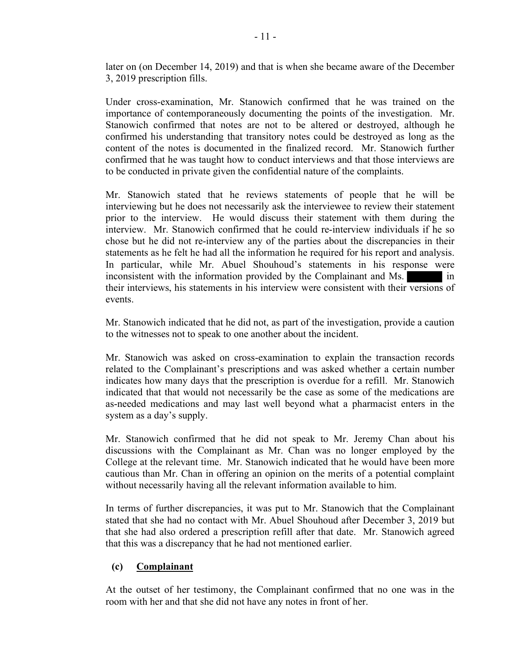later on (on December 14, 2019) and that is when she became aware of the December 3, 2019 prescription fills.

Under cross-examination, Mr. Stanowich confirmed that he was trained on the importance of contemporaneously documenting the points of the investigation. Mr. Stanowich confirmed that notes are not to be altered or destroyed, although he confirmed his understanding that transitory notes could be destroyed as long as the content of the notes is documented in the finalized record. Mr. Stanowich further confirmed that he was taught how to conduct interviews and that those interviews are to be conducted in private given the confidential nature of the complaints.

Mr. Stanowich stated that he reviews statements of people that he will be interviewing but he does not necessarily ask the interviewee to review their statement prior to the interview. He would discuss their statement with them during the interview. Mr. Stanowich confirmed that he could re-interview individuals if he so chose but he did not re-interview any of the parties about the discrepancies in their statements as he felt he had all the information he required for his report and analysis. In particular, while Mr. Abuel Shouhoud's statements in his response were inconsistent with the information provided by the Complainant and Ms. in their interviews, his statements in his interview were consistent with their versions of events.

Mr. Stanowich indicated that he did not, as part of the investigation, provide a caution to the witnesses not to speak to one another about the incident.

Mr. Stanowich was asked on cross-examination to explain the transaction records related to the Complainant's prescriptions and was asked whether a certain number indicates how many days that the prescription is overdue for a refill. Mr. Stanowich indicated that that would not necessarily be the case as some of the medications are as-needed medications and may last well beyond what a pharmacist enters in the system as a day's supply.

Mr. Stanowich confirmed that he did not speak to Mr. Jeremy Chan about his discussions with the Complainant as Mr. Chan was no longer employed by the College at the relevant time. Mr. Stanowich indicated that he would have been more cautious than Mr. Chan in offering an opinion on the merits of a potential complaint without necessarily having all the relevant information available to him.

In terms of further discrepancies, it was put to Mr. Stanowich that the Complainant stated that she had no contact with Mr. Abuel Shouhoud after December 3, 2019 but that she had also ordered a prescription refill after that date. Mr. Stanowich agreed that this was a discrepancy that he had not mentioned earlier.

## (c) Complainant

At the outset of her testimony, the Complainant confirmed that no one was in the room with her and that she did not have any notes in front of her.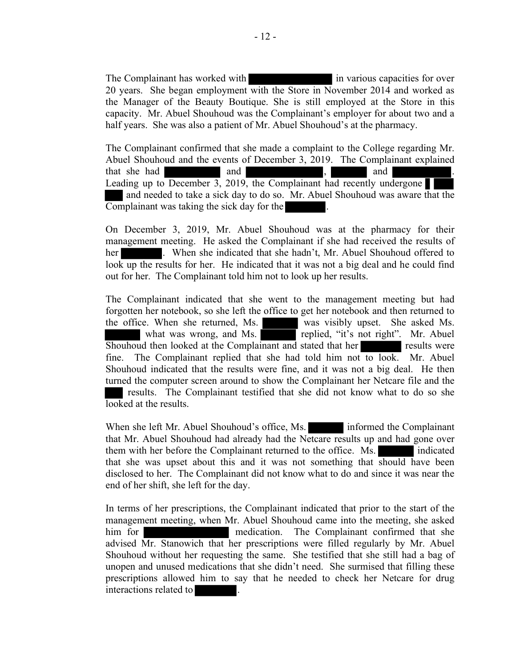The Complainant has worked with in various capacities for over 20 years. She began employment with the Store in November 2014 and worked as the Manager of the Beauty Boutique. She is still employed at the Store in this capacity. Mr. Abuel Shouhoud was the Complainant's employer for about two and a half years. She was also a patient of Mr. Abuel Shouhoud's at the pharmacy.

The Complainant confirmed that she made a complaint to the College regarding Mr. Abuel Shouhoud and the events of December 3, 2019. The Complainant explained that she had and and , and and . Leading up to December 3, 2019, the Complainant had recently undergone and needed to take a sick day to do so. Mr. Abuel Shouhoud was aware that the Complainant was taking the sick day for the .

On December 3, 2019, Mr. Abuel Shouhoud was at the pharmacy for their management meeting. He asked the Complainant if she had received the results of her . When she indicated that she hadn't, Mr. Abuel Shouhoud offered to look up the results for her. He indicated that it was not a big deal and he could find out for her. The Complainant told him not to look up her results.

The Complainant indicated that she went to the management meeting but had forgotten her notebook, so she left the office to get her notebook and then returned to the office. When she returned, Ms. was visibly upset. She asked Ms. what was wrong, and Ms. replied, "it's not right". Mr. Abuel Shouhoud then looked at the Complainant and stated that her results were fine. The Complainant replied that she had told him not to look. Mr. Abuel Shouhoud indicated that the results were fine, and it was not a big deal. He then turned the computer screen around to show the Complainant her Netcare file and the results. The Complainant testified that she did not know what to do so she looked at the results.

When she left Mr. Abuel Shouhoud's office, Ms. informed the Complainant that Mr. Abuel Shouhoud had already had the Netcare results up and had gone over them with her before the Complainant returned to the office. Ms. indicated that she was upset about this and it was not something that should have been disclosed to her. The Complainant did not know what to do and since it was near the end of her shift, she left for the day.

In terms of her prescriptions, the Complainant indicated that prior to the start of the management meeting, when Mr. Abuel Shouhoud came into the meeting, she asked him for the medication. The Complainant confirmed that she advised Mr. Stanowich that her prescriptions were filled regularly by Mr. Abuel Shouhoud without her requesting the same. She testified that she still had a bag of unopen and unused medications that she didn't need. She surmised that filling these prescriptions allowed him to say that he needed to check her Netcare for drug interactions related to .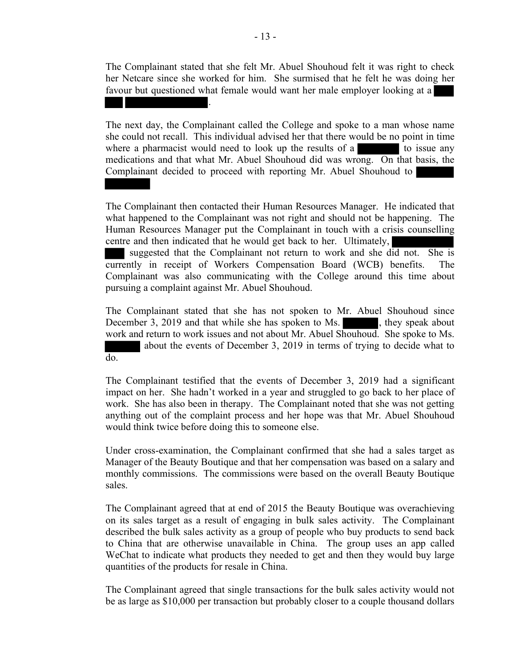The Complainant stated that she felt Mr. Abuel Shouhoud felt it was right to check her Netcare since she worked for him. She surmised that he felt he was doing her favour but questioned what female would want her male employer looking at a

The next day, the Complainant called the College and spoke to a man whose name she could not recall. This individual advised her that there would be no point in time where a pharmacist would need to look up the results of a to issue any medications and that what Mr. Abuel Shouhoud did was wrong. On that basis, the Complainant decided to proceed with reporting Mr. Abuel Shouhoud to

The Complainant then contacted their Human Resources Manager. He indicated that what happened to the Complainant was not right and should not be happening. The Human Resources Manager put the Complainant in touch with a crisis counselling centre and then indicated that he would get back to her. Ultimately,

suggested that the Complainant not return to work and she did not. She is currently in receipt of Workers Compensation Board (WCB) benefits. The Complainant was also communicating with the College around this time about pursuing a complaint against Mr. Abuel Shouhoud.

The Complainant stated that she has not spoken to Mr. Abuel Shouhoud since December 3, 2019 and that while she has spoken to Ms. , they speak about work and return to work issues and not about Mr. Abuel Shouhoud. She spoke to Ms. about the events of December 3, 2019 in terms of trying to decide what to do.

The Complainant testified that the events of December 3, 2019 had a significant impact on her. She hadn't worked in a year and struggled to go back to her place of work. She has also been in therapy. The Complainant noted that she was not getting anything out of the complaint process and her hope was that Mr. Abuel Shouhoud would think twice before doing this to someone else.

Under cross-examination, the Complainant confirmed that she had a sales target as Manager of the Beauty Boutique and that her compensation was based on a salary and monthly commissions. The commissions were based on the overall Beauty Boutique sales.

The Complainant agreed that at end of 2015 the Beauty Boutique was overachieving on its sales target as a result of engaging in bulk sales activity. The Complainant described the bulk sales activity as a group of people who buy products to send back to China that are otherwise unavailable in China. The group uses an app called WeChat to indicate what products they needed to get and then they would buy large quantities of the products for resale in China.

The Complainant agreed that single transactions for the bulk sales activity would not be as large as \$10,000 per transaction but probably closer to a couple thousand dollars

.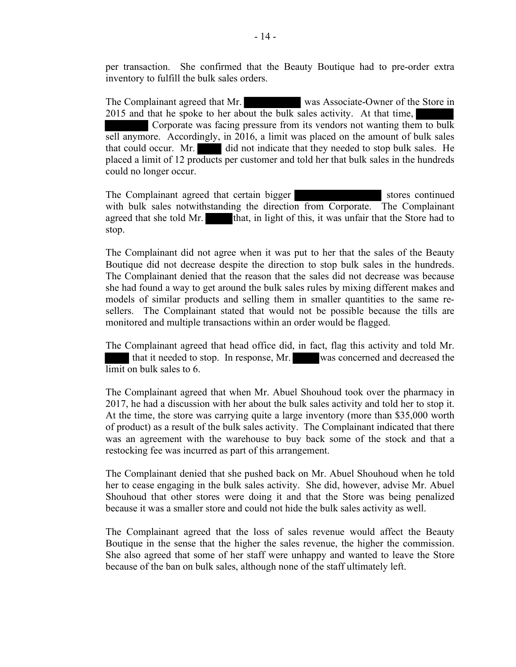per transaction. She confirmed that the Beauty Boutique had to pre-order extra inventory to fulfill the bulk sales orders.

The Complainant agreed that Mr. was Associate-Owner of the Store in 2015 and that he spoke to her about the bulk sales activity. At that time, Corporate was facing pressure from its vendors not wanting them to bulk sell anymore. Accordingly, in 2016, a limit was placed on the amount of bulk sales that could occur. Mr. did not indicate that they needed to stop bulk sales. He placed a limit of 12 products per customer and told her that bulk sales in the hundreds could no longer occur.

The Complainant agreed that certain bigger stores continued with bulk sales notwithstanding the direction from Corporate. The Complainant agreed that she told Mr. that, in light of this, it was unfair that the Store had to stop.

The Complainant did not agree when it was put to her that the sales of the Beauty Boutique did not decrease despite the direction to stop bulk sales in the hundreds. The Complainant denied that the reason that the sales did not decrease was because she had found a way to get around the bulk sales rules by mixing different makes and models of similar products and selling them in smaller quantities to the same resellers. The Complainant stated that would not be possible because the tills are monitored and multiple transactions within an order would be flagged.

The Complainant agreed that head office did, in fact, flag this activity and told Mr. that it needed to stop. In response, Mr. was concerned and decreased the limit on bulk sales to 6.

The Complainant agreed that when Mr. Abuel Shouhoud took over the pharmacy in 2017, he had a discussion with her about the bulk sales activity and told her to stop it. At the time, the store was carrying quite a large inventory (more than \$35,000 worth of product) as a result of the bulk sales activity. The Complainant indicated that there was an agreement with the warehouse to buy back some of the stock and that a restocking fee was incurred as part of this arrangement.

The Complainant denied that she pushed back on Mr. Abuel Shouhoud when he told her to cease engaging in the bulk sales activity. She did, however, advise Mr. Abuel Shouhoud that other stores were doing it and that the Store was being penalized because it was a smaller store and could not hide the bulk sales activity as well.

The Complainant agreed that the loss of sales revenue would affect the Beauty Boutique in the sense that the higher the sales revenue, the higher the commission. She also agreed that some of her staff were unhappy and wanted to leave the Store because of the ban on bulk sales, although none of the staff ultimately left.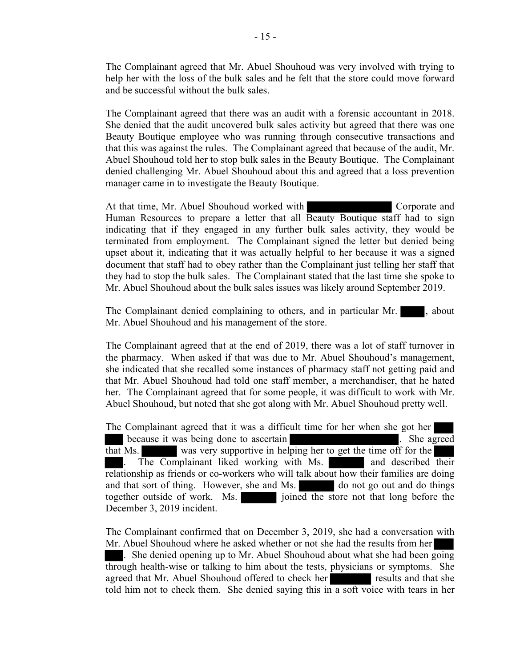The Complainant agreed that Mr. Abuel Shouhoud was very involved with trying to help her with the loss of the bulk sales and he felt that the store could move forward and be successful without the bulk sales.

The Complainant agreed that there was an audit with a forensic accountant in 2018. She denied that the audit uncovered bulk sales activity but agreed that there was one Beauty Boutique employee who was running through consecutive transactions and that this was against the rules. The Complainant agreed that because of the audit, Mr. Abuel Shouhoud told her to stop bulk sales in the Beauty Boutique. The Complainant denied challenging Mr. Abuel Shouhoud about this and agreed that a loss prevention manager came in to investigate the Beauty Boutique.

At that time, Mr. Abuel Shouhoud worked with Corporate and Human Resources to prepare a letter that all Beauty Boutique staff had to sign indicating that if they engaged in any further bulk sales activity, they would be terminated from employment. The Complainant signed the letter but denied being upset about it, indicating that it was actually helpful to her because it was a signed document that staff had to obey rather than the Complainant just telling her staff that they had to stop the bulk sales. The Complainant stated that the last time she spoke to Mr. Abuel Shouhoud about the bulk sales issues was likely around September 2019.

The Complainant denied complaining to others, and in particular Mr.  $\blacksquare$ , about Mr. Abuel Shouhoud and his management of the store.

The Complainant agreed that at the end of 2019, there was a lot of staff turnover in the pharmacy. When asked if that was due to Mr. Abuel Shouhoud's management, she indicated that she recalled some instances of pharmacy staff not getting paid and that Mr. Abuel Shouhoud had told one staff member, a merchandiser, that he hated her. The Complainant agreed that for some people, it was difficult to work with Mr. Abuel Shouhoud, but noted that she got along with Mr. Abuel Shouhoud pretty well.

The Complainant agreed that it was a difficult time for her when she got her because it was being done to ascertain **the contract of the set of the set of the set of the set of the set of the set of the set of the set of the set of the set of the set of the set of the set of the set of the set of t** that Ms. was very supportive in helping her to get the time off for the The Complainant liked working with Ms. and described their relationship as friends or co-workers who will talk about how their families are doing and that sort of thing. However, she and Ms. do not go out and do things together outside of work. Ms. joined the store not that long before the December 3, 2019 incident.

The Complainant confirmed that on December 3, 2019, she had a conversation with Mr. Abuel Shouhoud where he asked whether or not she had the results from her . She denied opening up to Mr. Abuel Shouhoud about what she had been going through health-wise or talking to him about the tests, physicians or symptoms. She agreed that Mr. Abuel Shouhoud offered to check her results and that she told him not to check them. She denied saying this in a soft voice with tears in her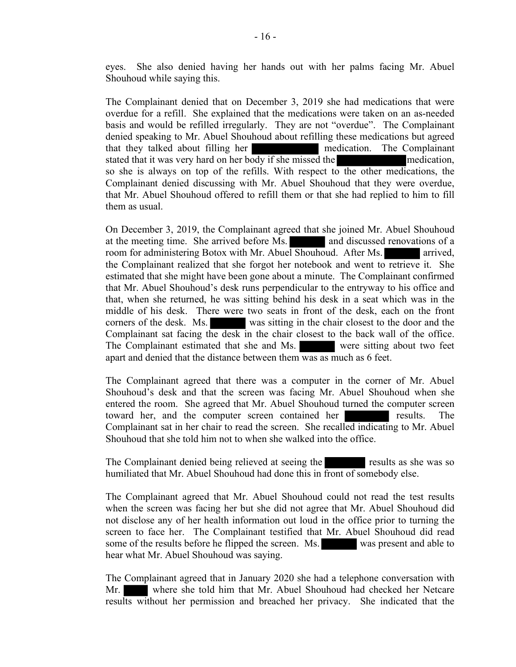eyes. She also denied having her hands out with her palms facing Mr. Abuel Shouhoud while saying this.

The Complainant denied that on December 3, 2019 she had medications that were overdue for a refill. She explained that the medications were taken on an as-needed basis and would be refilled irregularly. They are not "overdue". The Complainant denied speaking to Mr. Abuel Shouhoud about refilling these medications but agreed that they talked about filling her medication. The Complainant stated that it was very hard on her body if she missed the medication, so she is always on top of the refills. With respect to the other medications, the Complainant denied discussing with Mr. Abuel Shouhoud that they were overdue, that Mr. Abuel Shouhoud offered to refill them or that she had replied to him to fill them as usual.

On December 3, 2019, the Complainant agreed that she joined Mr. Abuel Shouhoud at the meeting time. She arrived before Ms. and discussed renovations of a room for administering Botox with Mr. Abuel Shouhoud. After Ms. arrived, the Complainant realized that she forgot her notebook and went to retrieve it. She estimated that she might have been gone about a minute. The Complainant confirmed that Mr. Abuel Shouhoud's desk runs perpendicular to the entryway to his office and that, when she returned, he was sitting behind his desk in a seat which was in the middle of his desk. There were two seats in front of the desk, each on the front corners of the desk. Ms. was sitting in the chair closest to the door and the Complainant sat facing the desk in the chair closest to the back wall of the office. The Complainant estimated that she and Ms. were sitting about two feet apart and denied that the distance between them was as much as 6 feet.

The Complainant agreed that there was a computer in the corner of Mr. Abuel Shouhoud's desk and that the screen was facing Mr. Abuel Shouhoud when she entered the room. She agreed that Mr. Abuel Shouhoud turned the computer screen toward her, and the computer screen contained her results. The Complainant sat in her chair to read the screen. She recalled indicating to Mr. Abuel Shouhoud that she told him not to when she walked into the office.

The Complainant denied being relieved at seeing the results as she was so humiliated that Mr. Abuel Shouhoud had done this in front of somebody else.

The Complainant agreed that Mr. Abuel Shouhoud could not read the test results when the screen was facing her but she did not agree that Mr. Abuel Shouhoud did not disclose any of her health information out loud in the office prior to turning the screen to face her. The Complainant testified that Mr. Abuel Shouhoud did read some of the results before he flipped the screen. Ms. was present and able to hear what Mr. Abuel Shouhoud was saying.

The Complainant agreed that in January 2020 she had a telephone conversation with Mr. where she told him that Mr. Abuel Shouhoud had checked her Netcare results without her permission and breached her privacy. She indicated that the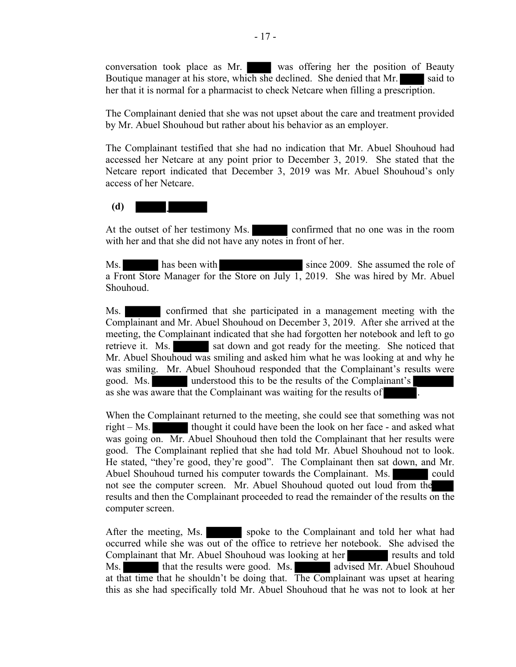conversation took place as Mr. was offering her the position of Beauty Boutique manager at his store, which she declined. She denied that Mr. said to her that it is normal for a pharmacist to check Netcare when filling a prescription.

The Complainant denied that she was not upset about the care and treatment provided by Mr. Abuel Shouhoud but rather about his behavior as an employer.

The Complainant testified that she had no indication that Mr. Abuel Shouhoud had accessed her Netcare at any point prior to December 3, 2019. She stated that the Netcare report indicated that December 3, 2019 was Mr. Abuel Shouhoud's only access of her Netcare.

## (d)

At the outset of her testimony Ms. confirmed that no one was in the room with her and that she did not have any notes in front of her.

Ms. has been with since 2009. She assumed the role of a Front Store Manager for the Store on July 1, 2019. She was hired by Mr. Abuel Shouhoud.

Ms. confirmed that she participated in a management meeting with the Complainant and Mr. Abuel Shouhoud on December 3, 2019. After she arrived at the meeting, the Complainant indicated that she had forgotten her notebook and left to go retrieve it. Ms. sat down and got ready for the meeting. She noticed that Mr. Abuel Shouhoud was smiling and asked him what he was looking at and why he was smiling. Mr. Abuel Shouhoud responded that the Complainant's results were good. Ms. understood this to be the results of the Complainant's as she was aware that the Complainant was waiting for the results of

When the Complainant returned to the meeting, she could see that something was not right – Ms. thought it could have been the look on her face - and asked what was going on. Mr. Abuel Shouhoud then told the Complainant that her results were good. The Complainant replied that she had told Mr. Abuel Shouhoud not to look. He stated, "they're good, they're good". The Complainant then sat down, and Mr. Abuel Shouhoud turned his computer towards the Complainant. Ms. could not see the computer screen. Mr. Abuel Shouhoud quoted out loud from the results and then the Complainant proceeded to read the remainder of the results on the computer screen.

After the meeting, Ms. spoke to the Complainant and told her what had occurred while she was out of the office to retrieve her notebook. She advised the Complainant that Mr. Abuel Shouhoud was looking at her results and told Ms. that the results were good. Ms. advised Mr. Abuel Shouhoud at that time that he shouldn't be doing that. The Complainant was upset at hearing this as she had specifically told Mr. Abuel Shouhoud that he was not to look at her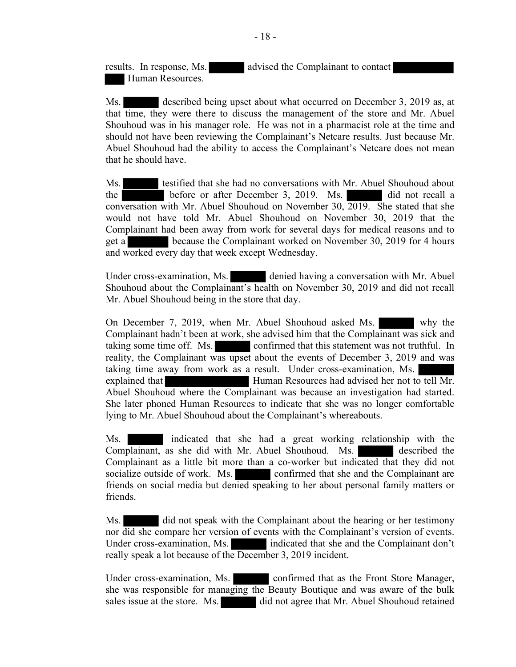results. In response, Ms. advised the Complainant to contact Human Resources.

Ms. described being upset about what occurred on December 3, 2019 as, at that time, they were there to discuss the management of the store and Mr. Abuel Shouhoud was in his manager role. He was not in a pharmacist role at the time and should not have been reviewing the Complainant's Netcare results. Just because Mr. Abuel Shouhoud had the ability to access the Complainant's Netcare does not mean that he should have.

Ms. testified that she had no conversations with Mr. Abuel Shouhoud about the before or after December 3, 2019. Ms. did not recall a conversation with Mr. Abuel Shouhoud on November 30, 2019. She stated that she would not have told Mr. Abuel Shouhoud on November 30, 2019 that the Complainant had been away from work for several days for medical reasons and to get a because the Complainant worked on November 30, 2019 for 4 hours and worked every day that week except Wednesday.

Under cross-examination, Ms. denied having a conversation with Mr. Abuel Shouhoud about the Complainant's health on November 30, 2019 and did not recall Mr. Abuel Shouhoud being in the store that day.

On December 7, 2019, when Mr. Abuel Shouhoud asked Ms. why the Complainant hadn't been at work, she advised him that the Complainant was sick and taking some time off. Ms. confirmed that this statement was not truthful. In reality, the Complainant was upset about the events of December 3, 2019 and was taking time away from work as a result. Under cross-examination, Ms. explained that Human Resources had advised her not to tell Mr. Abuel Shouhoud where the Complainant was because an investigation had started. She later phoned Human Resources to indicate that she was no longer comfortable lying to Mr. Abuel Shouhoud about the Complainant's whereabouts.

Ms. indicated that she had a great working relationship with the Complainant, as she did with Mr. Abuel Shouhoud. Ms. described the Complainant as a little bit more than a co-worker but indicated that they did not socialize outside of work. Ms. confirmed that she and the Complainant are friends on social media but denied speaking to her about personal family matters or friends.

Ms. did not speak with the Complainant about the hearing or her testimony nor did she compare her version of events with the Complainant's version of events. Under cross-examination, Ms. indicated that she and the Complainant don't really speak a lot because of the December 3, 2019 incident.

Under cross-examination, Ms. confirmed that as the Front Store Manager, she was responsible for managing the Beauty Boutique and was aware of the bulk sales issue at the store. Ms. did not agree that Mr. Abuel Shouhoud retained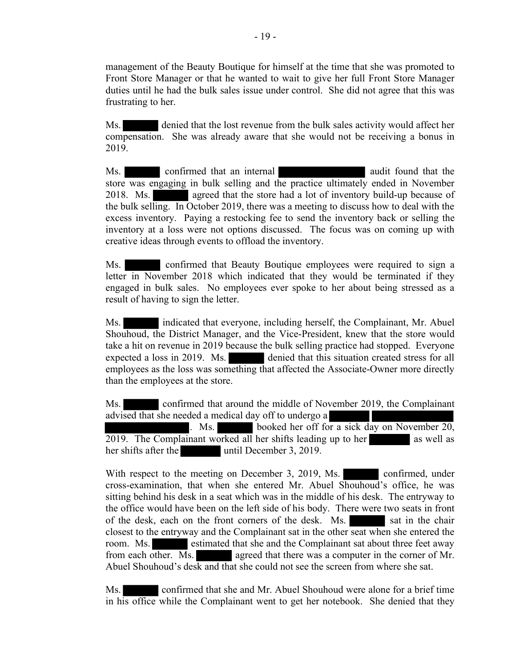management of the Beauty Boutique for himself at the time that she was promoted to Front Store Manager or that he wanted to wait to give her full Front Store Manager duties until he had the bulk sales issue under control. She did not agree that this was frustrating to her.

Ms. denied that the lost revenue from the bulk sales activity would affect her compensation. She was already aware that she would not be receiving a bonus in 2019.

Ms. confirmed that an internal audit found that the store was engaging in bulk selling and the practice ultimately ended in November 2018. Ms. **agreed that the store had a lot of inventory build-up because of** the bulk selling. In October 2019, there was a meeting to discuss how to deal with the excess inventory. Paying a restocking fee to send the inventory back or selling the inventory at a loss were not options discussed. The focus was on coming up with creative ideas through events to offload the inventory.

 Ms. confirmed that Beauty Boutique employees were required to sign a letter in November 2018 which indicated that they would be terminated if they engaged in bulk sales. No employees ever spoke to her about being stressed as a result of having to sign the letter.

Ms. indicated that everyone, including herself, the Complainant, Mr. Abuel Shouhoud, the District Manager, and the Vice-President, knew that the store would take a hit on revenue in 2019 because the bulk selling practice had stopped. Everyone expected a loss in 2019. Ms. denied that this situation created stress for all employees as the loss was something that affected the Associate-Owner more directly than the employees at the store.

Ms. confirmed that around the middle of November 2019, the Complainant advised that she needed a medical day off to undergo a . Ms. booked her off for a sick day on November 20, 2019. The Complainant worked all her shifts leading up to her as well as her shifts after the until December 3, 2019.

With respect to the meeting on December 3, 2019, Ms. confirmed, under cross-examination, that when she entered Mr. Abuel Shouhoud's office, he was sitting behind his desk in a seat which was in the middle of his desk. The entryway to the office would have been on the left side of his body. There were two seats in front of the desk, each on the front corners of the desk. Ms. sat in the chair closest to the entryway and the Complainant sat in the other seat when she entered the room. Ms. estimated that she and the Complainant sat about three feet away from each other. Ms. agreed that there was a computer in the corner of Mr. Abuel Shouhoud's desk and that she could not see the screen from where she sat.

Ms. confirmed that she and Mr. Abuel Shouhoud were alone for a brief time in his office while the Complainant went to get her notebook. She denied that they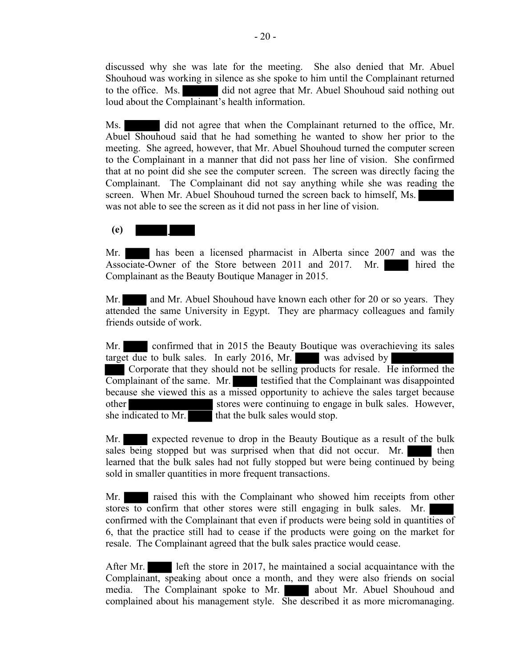discussed why she was late for the meeting. She also denied that Mr. Abuel Shouhoud was working in silence as she spoke to him until the Complainant returned to the office. Ms. did not agree that Mr. Abuel Shouhoud said nothing out loud about the Complainant's health information.

Ms. did not agree that when the Complainant returned to the office, Mr. Abuel Shouhoud said that he had something he wanted to show her prior to the meeting. She agreed, however, that Mr. Abuel Shouhoud turned the computer screen to the Complainant in a manner that did not pass her line of vision. She confirmed that at no point did she see the computer screen. The screen was directly facing the Complainant. The Complainant did not say anything while she was reading the screen. When Mr. Abuel Shouhoud turned the screen back to himself, Ms. was not able to see the screen as it did not pass in her line of vision.

## (e)

Mr. has been a licensed pharmacist in Alberta since 2007 and was the Associate-Owner of the Store between 2011 and 2017. Mr. hired the Complainant as the Beauty Boutique Manager in 2015.

Mr. and Mr. Abuel Shouhoud have known each other for 20 or so years. They attended the same University in Egypt. They are pharmacy colleagues and family friends outside of work.

Mr. confirmed that in 2015 the Beauty Boutique was overachieving its sales target due to bulk sales. In early 2016, Mr. was advised by Corporate that they should not be selling products for resale. He informed the Complainant of the same. Mr. testified that the Complainant was disappointed because she viewed this as a missed opportunity to achieve the sales target because other stores were continuing to engage in bulk sales. However, she indicated to Mr. that the bulk sales would stop.

Mr. **Expected revenue to drop in the Beauty Boutique as a result of the bulk** sales being stopped but was surprised when that did not occur. Mr. then learned that the bulk sales had not fully stopped but were being continued by being sold in smaller quantities in more frequent transactions.

Mr. raised this with the Complainant who showed him receipts from other stores to confirm that other stores were still engaging in bulk sales. Mr. confirmed with the Complainant that even if products were being sold in quantities of 6, that the practice still had to cease if the products were going on the market for resale. The Complainant agreed that the bulk sales practice would cease.

After Mr. left the store in 2017, he maintained a social acquaintance with the Complainant, speaking about once a month, and they were also friends on social media. The Complainant spoke to Mr. about Mr. Abuel Shouhoud and complained about his management style. She described it as more micromanaging.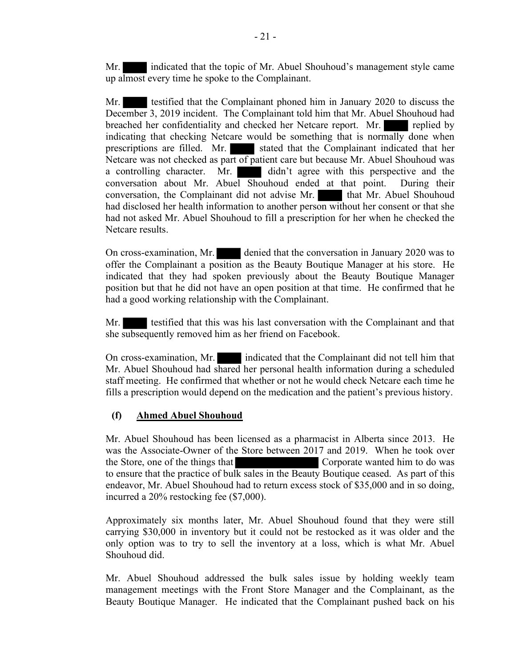Mr. indicated that the topic of Mr. Abuel Shouhoud's management style came up almost every time he spoke to the Complainant.

Mr. testified that the Complainant phoned him in January 2020 to discuss the December 3, 2019 incident. The Complainant told him that Mr. Abuel Shouhoud had breached her confidentiality and checked her Netcare report. Mr. replied by indicating that checking Netcare would be something that is normally done when prescriptions are filled. Mr. stated that the Complainant indicated that her Netcare was not checked as part of patient care but because Mr. Abuel Shouhoud was a controlling character. Mr. didn't agree with this perspective and the conversation about Mr. Abuel Shouhoud ended at that point. During their conversation, the Complainant did not advise Mr. **that Mr. Abuel Shouhoud** had disclosed her health information to another person without her consent or that she had not asked Mr. Abuel Shouhoud to fill a prescription for her when he checked the Netcare results.

On cross-examination, Mr. denied that the conversation in January 2020 was to offer the Complainant a position as the Beauty Boutique Manager at his store. He indicated that they had spoken previously about the Beauty Boutique Manager position but that he did not have an open position at that time. He confirmed that he had a good working relationship with the Complainant.

Mr. testified that this was his last conversation with the Complainant and that she subsequently removed him as her friend on Facebook.

On cross-examination, Mr. indicated that the Complainant did not tell him that Mr. Abuel Shouhoud had shared her personal health information during a scheduled staff meeting. He confirmed that whether or not he would check Netcare each time he fills a prescription would depend on the medication and the patient's previous history.

## (f) Ahmed Abuel Shouhoud

Mr. Abuel Shouhoud has been licensed as a pharmacist in Alberta since 2013. He was the Associate-Owner of the Store between 2017 and 2019. When he took over the Store, one of the things that Corporate wanted him to do was to ensure that the practice of bulk sales in the Beauty Boutique ceased. As part of this endeavor, Mr. Abuel Shouhoud had to return excess stock of \$35,000 and in so doing, incurred a 20% restocking fee (\$7,000).

Approximately six months later, Mr. Abuel Shouhoud found that they were still carrying \$30,000 in inventory but it could not be restocked as it was older and the only option was to try to sell the inventory at a loss, which is what Mr. Abuel Shouhoud did.

Mr. Abuel Shouhoud addressed the bulk sales issue by holding weekly team management meetings with the Front Store Manager and the Complainant, as the Beauty Boutique Manager. He indicated that the Complainant pushed back on his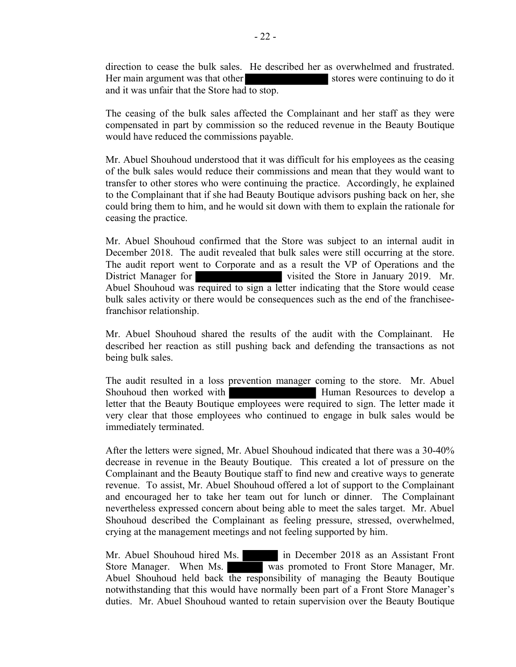direction to cease the bulk sales. He described her as overwhelmed and frustrated. Her main argument was that other stores were continuing to do it and it was unfair that the Store had to stop.

The ceasing of the bulk sales affected the Complainant and her staff as they were compensated in part by commission so the reduced revenue in the Beauty Boutique would have reduced the commissions payable.

Mr. Abuel Shouhoud understood that it was difficult for his employees as the ceasing of the bulk sales would reduce their commissions and mean that they would want to transfer to other stores who were continuing the practice. Accordingly, he explained to the Complainant that if she had Beauty Boutique advisors pushing back on her, she could bring them to him, and he would sit down with them to explain the rationale for ceasing the practice.

Mr. Abuel Shouhoud confirmed that the Store was subject to an internal audit in December 2018. The audit revealed that bulk sales were still occurring at the store. The audit report went to Corporate and as a result the VP of Operations and the District Manager for visited the Store in January 2019. Mr. Abuel Shouhoud was required to sign a letter indicating that the Store would cease bulk sales activity or there would be consequences such as the end of the franchiseefranchisor relationship.

Mr. Abuel Shouhoud shared the results of the audit with the Complainant. He described her reaction as still pushing back and defending the transactions as not being bulk sales.

The audit resulted in a loss prevention manager coming to the store. Mr. Abuel Shouhoud then worked with **Human Resources** to develop a letter that the Beauty Boutique employees were required to sign. The letter made it very clear that those employees who continued to engage in bulk sales would be immediately terminated.

After the letters were signed, Mr. Abuel Shouhoud indicated that there was a 30-40% decrease in revenue in the Beauty Boutique. This created a lot of pressure on the Complainant and the Beauty Boutique staff to find new and creative ways to generate revenue. To assist, Mr. Abuel Shouhoud offered a lot of support to the Complainant and encouraged her to take her team out for lunch or dinner. The Complainant nevertheless expressed concern about being able to meet the sales target. Mr. Abuel Shouhoud described the Complainant as feeling pressure, stressed, overwhelmed, crying at the management meetings and not feeling supported by him.

Mr. Abuel Shouhoud hired Ms. in December 2018 as an Assistant Front Store Manager. When Ms. was promoted to Front Store Manager, Mr. Abuel Shouhoud held back the responsibility of managing the Beauty Boutique notwithstanding that this would have normally been part of a Front Store Manager's duties. Mr. Abuel Shouhoud wanted to retain supervision over the Beauty Boutique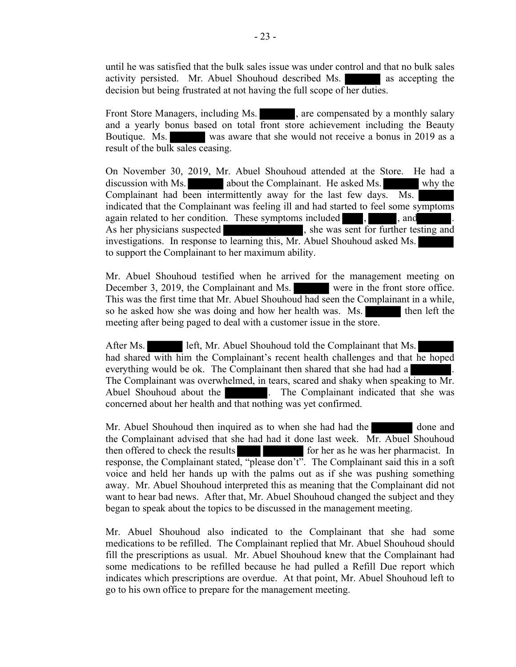until he was satisfied that the bulk sales issue was under control and that no bulk sales activity persisted. Mr. Abuel Shouhoud described Ms. as accepting the decision but being frustrated at not having the full scope of her duties.

Front Store Managers, including Ms.  $\qquad \qquad$ , are compensated by a monthly salary and a yearly bonus based on total front store achievement including the Beauty Boutique. Ms. was aware that she would not receive a bonus in 2019 as a result of the bulk sales ceasing.

On November 30, 2019, Mr. Abuel Shouhoud attended at the Store. He had a discussion with Ms.  $\qquad \qquad$  about the Complainant. He asked Ms.  $\qquad \qquad$  why the Complainant had been intermittently away for the last few days. Ms. indicated that the Complainant was feeling ill and had started to feel some symptoms again related to her condition. These symptoms included , , and As her physicians suspected , she was sent for further testing and investigations. In response to learning this, Mr. Abuel Shouhoud asked Ms. to support the Complainant to her maximum ability.

Mr. Abuel Shouhoud testified when he arrived for the management meeting on December 3, 2019, the Complainant and Ms. were in the front store office. This was the first time that Mr. Abuel Shouhoud had seen the Complainant in a while, so he asked how she was doing and how her health was. Ms. then left the meeting after being paged to deal with a customer issue in the store.

After Ms. left, Mr. Abuel Shouhoud told the Complainant that Ms. had shared with him the Complainant's recent health challenges and that he hoped everything would be ok. The Complainant then shared that she had had a The Complainant was overwhelmed, in tears, scared and shaky when speaking to Mr. Abuel Shouhoud about the . The Complainant indicated that she was concerned about her health and that nothing was yet confirmed.

Mr. Abuel Shouhoud then inquired as to when she had had the done and the Complainant advised that she had had it done last week. Mr. Abuel Shouhoud then offered to check the results for her as he was her pharmacist. In response, the Complainant stated, "please don't". The Complainant said this in a soft voice and held her hands up with the palms out as if she was pushing something away. Mr. Abuel Shouhoud interpreted this as meaning that the Complainant did not want to hear bad news. After that, Mr. Abuel Shouhoud changed the subject and they began to speak about the topics to be discussed in the management meeting.

Mr. Abuel Shouhoud also indicated to the Complainant that she had some medications to be refilled. The Complainant replied that Mr. Abuel Shouhoud should fill the prescriptions as usual. Mr. Abuel Shouhoud knew that the Complainant had some medications to be refilled because he had pulled a Refill Due report which indicates which prescriptions are overdue. At that point, Mr. Abuel Shouhoud left to go to his own office to prepare for the management meeting.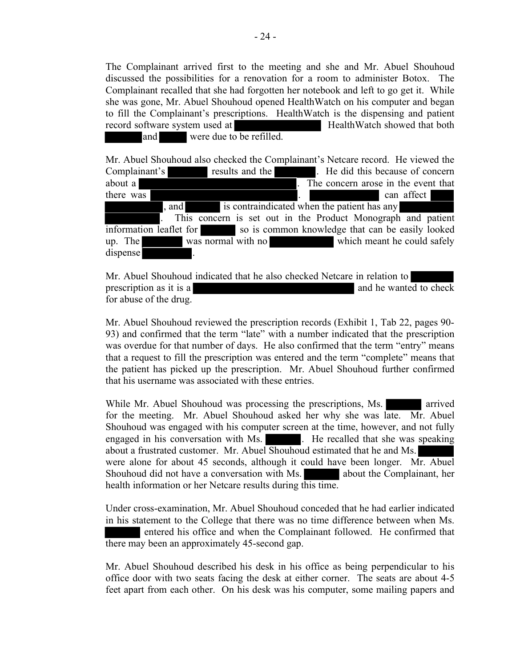The Complainant arrived first to the meeting and she and Mr. Abuel Shouhoud discussed the possibilities for a renovation for a room to administer Botox. The Complainant recalled that she had forgotten her notebook and left to go get it. While she was gone, Mr. Abuel Shouhoud opened HealthWatch on his computer and began to fill the Complainant's prescriptions. HealthWatch is the dispensing and patient record software system used at **HealthWatch showed that both** and were due to be refilled.

Mr. Abuel Shouhoud also checked the Complainant's Netcare record. He viewed the Complainant's results and the . He did this because of concern about a . The concern arose in the event that there was **there** was **can** affect **b** , and is contraindicated when the patient has any . This concern is set out in the Product Monograph and patient information leaflet for so is common knowledge that can be easily looked up. The was normal with no which meant he could safely dispense

Mr. Abuel Shouhoud indicated that he also checked Netcare in relation to prescription as it is a and he wanted to check for abuse of the drug.

Mr. Abuel Shouhoud reviewed the prescription records (Exhibit 1, Tab 22, pages 90- 93) and confirmed that the term "late" with a number indicated that the prescription was overdue for that number of days. He also confirmed that the term "entry" means that a request to fill the prescription was entered and the term "complete" means that the patient has picked up the prescription. Mr. Abuel Shouhoud further confirmed that his username was associated with these entries.

While Mr. Abuel Shouhoud was processing the prescriptions, Ms. arrived for the meeting. Mr. Abuel Shouhoud asked her why she was late. Mr. Abuel Shouhoud was engaged with his computer screen at the time, however, and not fully engaged in his conversation with Ms.  $\qquad \qquad$  He recalled that she was speaking about a frustrated customer. Mr. Abuel Shouhoud estimated that he and Ms. were alone for about 45 seconds, although it could have been longer. Mr. Abuel Shouhoud did not have a conversation with Ms. about the Complainant, her health information or her Netcare results during this time.

Under cross-examination, Mr. Abuel Shouhoud conceded that he had earlier indicated in his statement to the College that there was no time difference between when Ms. entered his office and when the Complainant followed. He confirmed that there may been an approximately 45-second gap.

Mr. Abuel Shouhoud described his desk in his office as being perpendicular to his office door with two seats facing the desk at either corner. The seats are about 4-5 feet apart from each other. On his desk was his computer, some mailing papers and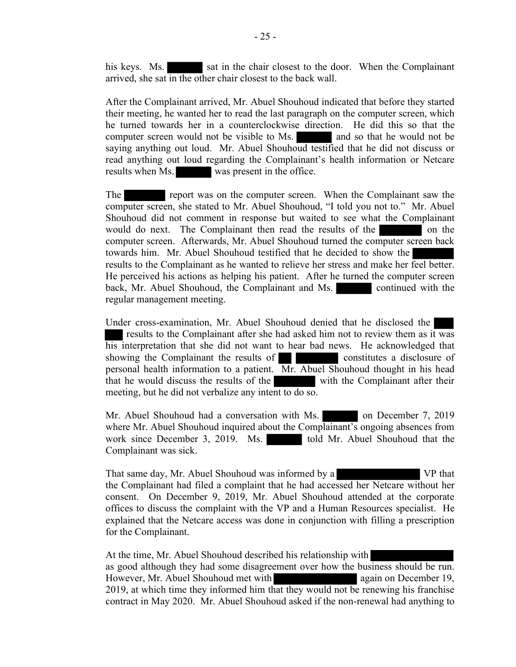his keys. Ms. sat in the chair closest to the door. When the Complainant arrived, she sat in the other chair closest to the back wall.

After the Complainant arrived, Mr. Abuel Shouhoud indicated that before they started their meeting, he wanted her to read the last paragraph on the computer screen, which he turned towards her in a counterclockwise direction. He did this so that the computer screen would not be visible to Ms. and so that he would not be saying anything out loud. Mr. Abuel Shouhoud testified that he did not discuss or read anything out loud regarding the Complainant's health information or Netcare results when Ms. was present in the office.

The report was on the computer screen. When the Complainant saw the computer screen, she stated to Mr. Abuel Shouhoud, "I told you not to." Mr. Abuel Shouhoud did not comment in response but waited to see what the Complainant would do next. The Complainant then read the results of the on the on the computer screen. Afterwards, Mr. Abuel Shouhoud turned the computer screen back towards him. Mr. Abuel Shouhoud testified that he decided to show the results to the Complainant as he wanted to relieve her stress and make her feel better. He perceived his actions as helping his patient. After he turned the computer screen back, Mr. Abuel Shouhoud, the Complainant and Ms. continued with the regular management meeting.

Under cross-examination, Mr. Abuel Shouhoud denied that he disclosed the results to the Complainant after she had asked him not to review them as it was his interpretation that she did not want to hear bad news. He acknowledged that showing the Complainant the results of constitutes a disclosure of personal health information to a patient.  $\overline{Mr}$ . Abuel Shouhoud thought in his head that he would discuss the results of the with the Complainant after their meeting, but he did not verbalize any intent to do so.

Mr. Abuel Shouhoud had a conversation with Ms. on December 7, 2019 where Mr. Abuel Shouhoud inquired about the Complainant's ongoing absences from work since December 3, 2019. Ms. told Mr. Abuel Shouhoud that the Complainant was sick.

That same day, Mr. Abuel Shouhoud was informed by a VP that the Complainant had filed a complaint that he had accessed her Netcare without her consent. On December 9, 2019, Mr. Abuel Shouhoud attended at the corporate offices to discuss the complaint with the VP and a Human Resources specialist. He explained that the Netcare access was done in conjunction with filling a prescription for the Complainant.

At the time, Mr. Abuel Shouhoud described his relationship with as good although they had some disagreement over how the business should be run. However, Mr. Abuel Shouhoud met with again on December 19, 2019, at which time they informed him that they would not be renewing his franchise contract in May 2020. Mr. Abuel Shouhoud asked if the non-renewal had anything to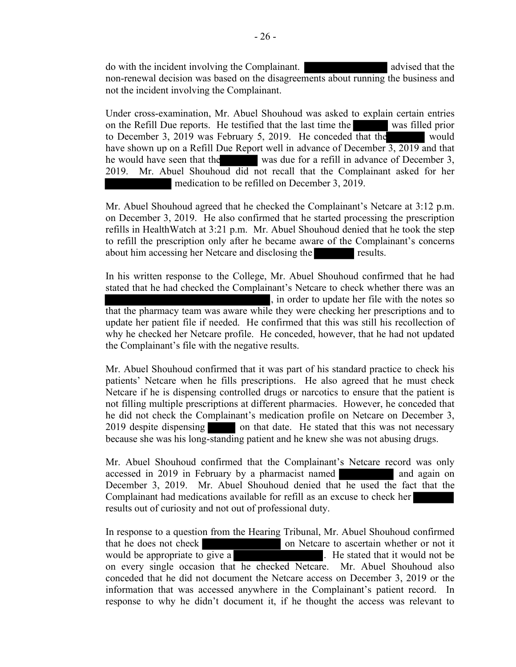do with the incident involving the Complainant. The subset of a series of a series of a series of a series of  $\alpha$ non-renewal decision was based on the disagreements about running the business and not the incident involving the Complainant.

Under cross-examination, Mr. Abuel Shouhoud was asked to explain certain entries on the Refill Due reports. He testified that the last time the was filled prior to December 3, 2019 was February 5, 2019. He conceded that the would have shown up on a Refill Due Report well in advance of December 3, 2019 and that he would have seen that the was due for a refill in advance of December 3, 2019. Mr. Abuel Shouhoud did not recall that the Complainant asked for her medication to be refilled on December 3, 2019.

Mr. Abuel Shouhoud agreed that he checked the Complainant's Netcare at 3:12 p.m. on December 3, 2019. He also confirmed that he started processing the prescription refills in HealthWatch at 3:21 p.m. Mr. Abuel Shouhoud denied that he took the step to refill the prescription only after he became aware of the Complainant's concerns about him accessing her Netcare and disclosing the results.

In his written response to the College, Mr. Abuel Shouhoud confirmed that he had stated that he had checked the Complainant's Netcare to check whether there was an , in order to update her file with the notes so that the pharmacy team was aware while they were checking her prescriptions and to update her patient file if needed. He confirmed that this was still his recollection of why he checked her Netcare profile. He conceded, however, that he had not updated the Complainant's file with the negative results.

Mr. Abuel Shouhoud confirmed that it was part of his standard practice to check his patients' Netcare when he fills prescriptions. He also agreed that he must check Netcare if he is dispensing controlled drugs or narcotics to ensure that the patient is not filling multiple prescriptions at different pharmacies. However, he conceded that he did not check the Complainant's medication profile on Netcare on December 3, 2019 despite dispensing on that date. He stated that this was not necessary because she was his long-standing patient and he knew she was not abusing drugs.

Mr. Abuel Shouhoud confirmed that the Complainant's Netcare record was only accessed in 2019 in February by a pharmacist named and again on December 3, 2019. Mr. Abuel Shouhoud denied that he used the fact that the Complainant had medications available for refill as an excuse to check her results out of curiosity and not out of professional duty.

In response to a question from the Hearing Tribunal, Mr. Abuel Shouhoud confirmed that he does not check on Netcare to ascertain whether or not it would be appropriate to give a . He stated that it would not be on every single occasion that he checked Netcare. Mr. Abuel Shouhoud also conceded that he did not document the Netcare access on December 3, 2019 or the information that was accessed anywhere in the Complainant's patient record. In response to why he didn't document it, if he thought the access was relevant to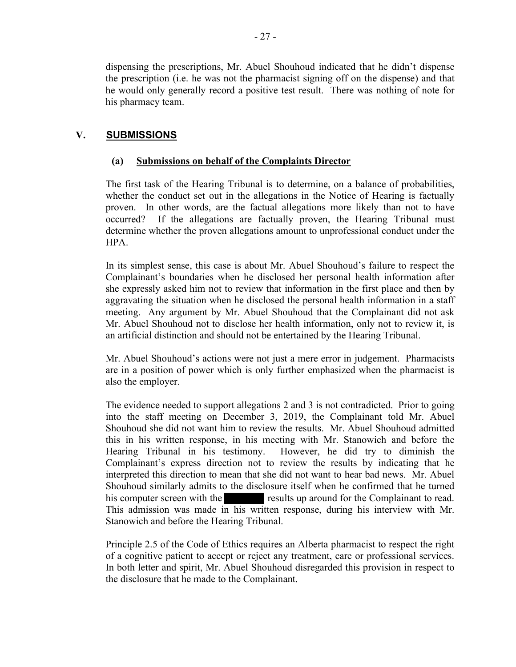dispensing the prescriptions, Mr. Abuel Shouhoud indicated that he didn't dispense the prescription (i.e. he was not the pharmacist signing off on the dispense) and that he would only generally record a positive test result. There was nothing of note for his pharmacy team.

## V. SUBMISSIONS

## (a) Submissions on behalf of the Complaints Director

The first task of the Hearing Tribunal is to determine, on a balance of probabilities, whether the conduct set out in the allegations in the Notice of Hearing is factually proven. In other words, are the factual allegations more likely than not to have occurred? If the allegations are factually proven, the Hearing Tribunal must determine whether the proven allegations amount to unprofessional conduct under the HPA.

In its simplest sense, this case is about Mr. Abuel Shouhoud's failure to respect the Complainant's boundaries when he disclosed her personal health information after she expressly asked him not to review that information in the first place and then by aggravating the situation when he disclosed the personal health information in a staff meeting. Any argument by Mr. Abuel Shouhoud that the Complainant did not ask Mr. Abuel Shouhoud not to disclose her health information, only not to review it, is an artificial distinction and should not be entertained by the Hearing Tribunal.

Mr. Abuel Shouhoud's actions were not just a mere error in judgement. Pharmacists are in a position of power which is only further emphasized when the pharmacist is also the employer.

The evidence needed to support allegations 2 and 3 is not contradicted. Prior to going into the staff meeting on December 3, 2019, the Complainant told Mr. Abuel Shouhoud she did not want him to review the results. Mr. Abuel Shouhoud admitted this in his written response, in his meeting with Mr. Stanowich and before the Hearing Tribunal in his testimony. However, he did try to diminish the Complainant's express direction not to review the results by indicating that he interpreted this direction to mean that she did not want to hear bad news. Mr. Abuel Shouhoud similarly admits to the disclosure itself when he confirmed that he turned his computer screen with the results up around for the Complainant to read. This admission was made in his written response, during his interview with Mr. Stanowich and before the Hearing Tribunal.

Principle 2.5 of the Code of Ethics requires an Alberta pharmacist to respect the right of a cognitive patient to accept or reject any treatment, care or professional services. In both letter and spirit, Mr. Abuel Shouhoud disregarded this provision in respect to the disclosure that he made to the Complainant.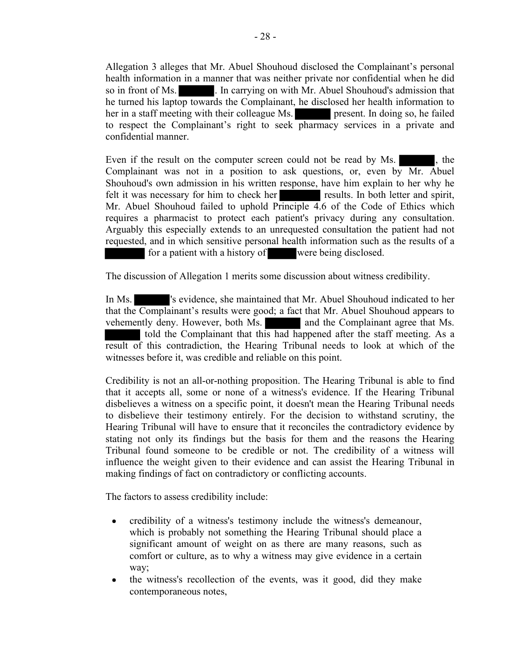Allegation 3 alleges that Mr. Abuel Shouhoud disclosed the Complainant's personal health information in a manner that was neither private nor confidential when he did so in front of Ms. . . In carrying on with Mr. Abuel Shouhoud's admission that he turned his laptop towards the Complainant, he disclosed her health information to her in a staff meeting with their colleague Ms. present. In doing so, he failed to respect the Complainant's right to seek pharmacy services in a private and confidential manner.

Even if the result on the computer screen could not be read by Ms.  $\blacksquare$ , the Complainant was not in a position to ask questions, or, even by Mr. Abuel Shouhoud's own admission in his written response, have him explain to her why he felt it was necessary for him to check her results. In both letter and spirit, Mr. Abuel Shouhoud failed to uphold Principle 4.6 of the Code of Ethics which requires a pharmacist to protect each patient's privacy during any consultation. Arguably this especially extends to an unrequested consultation the patient had not requested, and in which sensitive personal health information such as the results of a for a patient with a history of were being disclosed.

The discussion of Allegation 1 merits some discussion about witness credibility.

In Ms. 's evidence, she maintained that Mr. Abuel Shouhoud indicated to her that the Complainant's results were good; a fact that Mr. Abuel Shouhoud appears to vehemently deny. However, both Ms. and the Complainant agree that Ms. told the Complainant that this had happened after the staff meeting. As a result of this contradiction, the Hearing Tribunal needs to look at which of the witnesses before it, was credible and reliable on this point.

Credibility is not an all-or-nothing proposition. The Hearing Tribunal is able to find that it accepts all, some or none of a witness's evidence. If the Hearing Tribunal disbelieves a witness on a specific point, it doesn't mean the Hearing Tribunal needs to disbelieve their testimony entirely. For the decision to withstand scrutiny, the Hearing Tribunal will have to ensure that it reconciles the contradictory evidence by stating not only its findings but the basis for them and the reasons the Hearing Tribunal found someone to be credible or not. The credibility of a witness will influence the weight given to their evidence and can assist the Hearing Tribunal in making findings of fact on contradictory or conflicting accounts.

The factors to assess credibility include:

- credibility of a witness's testimony include the witness's demeanour,  $\bullet$ which is probably not something the Hearing Tribunal should place a significant amount of weight on as there are many reasons, such as comfort or culture, as to why a witness may give evidence in a certain way;
- the witness's recollection of the events, was it good, did they make  $\bullet$ contemporaneous notes,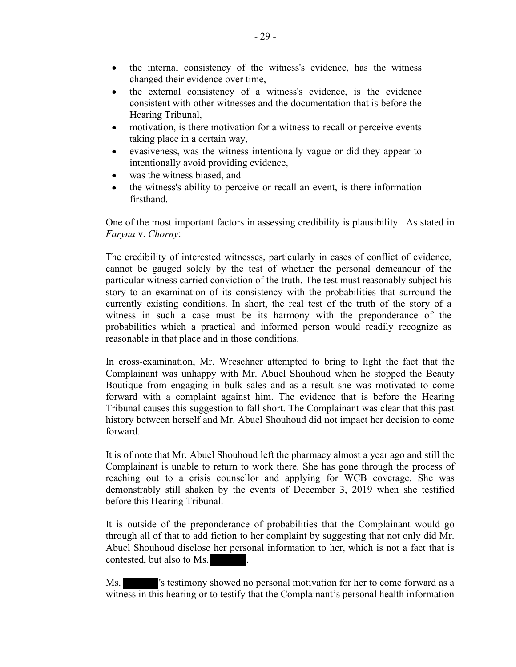- the internal consistency of the witness's evidence, has the witness  $\bullet$ changed their evidence over time,
- the external consistency of a witness's evidence, is the evidence consistent with other witnesses and the documentation that is before the Hearing Tribunal,
- motivation, is there motivation for a witness to recall or perceive events  $\bullet$ taking place in a certain way,
- evasiveness, was the witness intentionally vague or did they appear to intentionally avoid providing evidence,
- was the witness biased, and
- the witness's ability to perceive or recall an event, is there information firsthand.

One of the most important factors in assessing credibility is plausibility. As stated in Faryna v. Chorny:

 The credibility of interested witnesses, particularly in cases of conflict of evidence, cannot be gauged solely by the test of whether the personal demeanour of the particular witness carried conviction of the truth. The test must reasonably subject his story to an examination of its consistency with the probabilities that surround the currently existing conditions. In short, the real test of the truth of the story of a witness in such a case must be its harmony with the preponderance of the probabilities which a practical and informed person would readily recognize as reasonable in that place and in those conditions.

In cross-examination, Mr. Wreschner attempted to bring to light the fact that the Complainant was unhappy with Mr. Abuel Shouhoud when he stopped the Beauty Boutique from engaging in bulk sales and as a result she was motivated to come forward with a complaint against him. The evidence that is before the Hearing Tribunal causes this suggestion to fall short. The Complainant was clear that this past history between herself and Mr. Abuel Shouhoud did not impact her decision to come forward.

It is of note that Mr. Abuel Shouhoud left the pharmacy almost a year ago and still the Complainant is unable to return to work there. She has gone through the process of reaching out to a crisis counsellor and applying for WCB coverage. She was demonstrably still shaken by the events of December 3, 2019 when she testified before this Hearing Tribunal.

It is outside of the preponderance of probabilities that the Complainant would go through all of that to add fiction to her complaint by suggesting that not only did Mr. Abuel Shouhoud disclose her personal information to her, which is not a fact that is contested, but also to Ms.

Ms.  $\blacksquare$  's testimony showed no personal motivation for her to come forward as a witness in this hearing or to testify that the Complainant's personal health information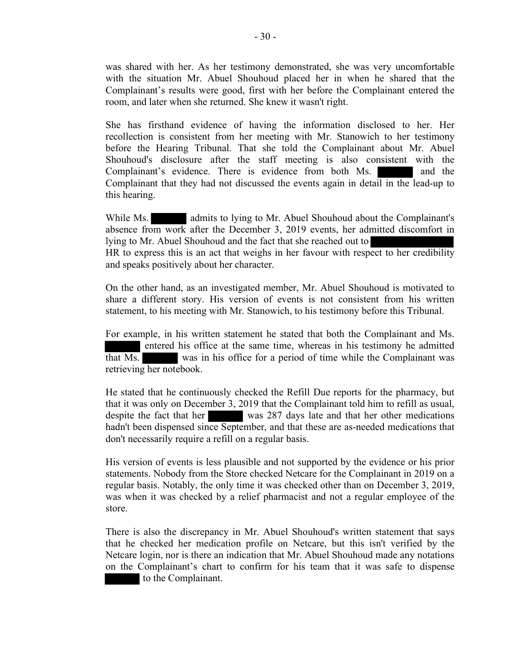was shared with her. As her testimony demonstrated, she was very uncomfortable with the situation Mr. Abuel Shouhoud placed her in when he shared that the Complainant's results were good, first with her before the Complainant entered the room, and later when she returned. She knew it wasn't right.

She has firsthand evidence of having the information disclosed to her. Her recollection is consistent from her meeting with Mr. Stanowich to her testimony before the Hearing Tribunal. That she told the Complainant about Mr. Abuel Shouhoud's disclosure after the staff meeting is also consistent with the Complainant's evidence. There is evidence from both Ms. and the Complainant that they had not discussed the events again in detail in the lead-up to this hearing.

While Ms. **admits to lying to Mr. Abuel Shouhoud about the Complainant's** absence from work after the December 3, 2019 events, her admitted discomfort in lying to Mr. Abuel Shouhoud and the fact that she reached out to HR to express this is an act that weighs in her favour with respect to her credibility and speaks positively about her character.

On the other hand, as an investigated member, Mr. Abuel Shouhoud is motivated to share a different story. His version of events is not consistent from his written statement, to his meeting with Mr. Stanowich, to his testimony before this Tribunal.

For example, in his written statement he stated that both the Complainant and Ms. entered his office at the same time, whereas in his testimony he admitted that Ms. was in his office for a period of time while the Complainant was retrieving her notebook.

He stated that he continuously checked the Refill Due reports for the pharmacy, but that it was only on December 3, 2019 that the Complainant told him to refill as usual, despite the fact that her was 287 days late and that her other medications hadn't been dispensed since September, and that these are as-needed medications that don't necessarily require a refill on a regular basis.

His version of events is less plausible and not supported by the evidence or his prior statements. Nobody from the Store checked Netcare for the Complainant in 2019 on a regular basis. Notably, the only time it was checked other than on December 3, 2019, was when it was checked by a relief pharmacist and not a regular employee of the store.

There is also the discrepancy in Mr. Abuel Shouhoud's written statement that says that he checked her medication profile on Netcare, but this isn't verified by the Netcare login, nor is there an indication that Mr. Abuel Shouhoud made any notations on the Complainant's chart to confirm for his team that it was safe to dispense to the Complainant.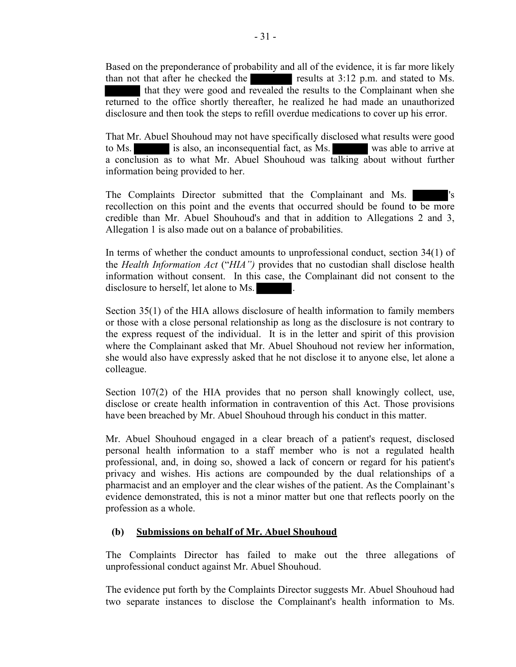Based on the preponderance of probability and all of the evidence, it is far more likely than not that after he checked the results at 3:12 p.m. and stated to Ms. that they were good and revealed the results to the Complainant when she returned to the office shortly thereafter, he realized he had made an unauthorized disclosure and then took the steps to refill overdue medications to cover up his error.

That Mr. Abuel Shouhoud may not have specifically disclosed what results were good to Ms. is also, an inconsequential fact, as Ms. was able to arrive at a conclusion as to what Mr. Abuel Shouhoud was talking about without further information being provided to her.

The Complaints Director submitted that the Complainant and Ms. recollection on this point and the events that occurred should be found to be more credible than Mr. Abuel Shouhoud's and that in addition to Allegations 2 and 3, Allegation 1 is also made out on a balance of probabilities.

In terms of whether the conduct amounts to unprofessional conduct, section 34(1) of the Health Information Act ("HIA") provides that no custodian shall disclose health information without consent. In this case, the Complainant did not consent to the disclosure to herself, let alone to Ms.

Section 35(1) of the HIA allows disclosure of health information to family members or those with a close personal relationship as long as the disclosure is not contrary to the express request of the individual. It is in the letter and spirit of this provision where the Complainant asked that Mr. Abuel Shouhoud not review her information, she would also have expressly asked that he not disclose it to anyone else, let alone a colleague.

Section 107(2) of the HIA provides that no person shall knowingly collect, use, disclose or create health information in contravention of this Act. Those provisions have been breached by Mr. Abuel Shouhoud through his conduct in this matter.

Mr. Abuel Shouhoud engaged in a clear breach of a patient's request, disclosed personal health information to a staff member who is not a regulated health professional, and, in doing so, showed a lack of concern or regard for his patient's privacy and wishes. His actions are compounded by the dual relationships of a pharmacist and an employer and the clear wishes of the patient. As the Complainant's evidence demonstrated, this is not a minor matter but one that reflects poorly on the profession as a whole.

## (b) Submissions on behalf of Mr. Abuel Shouhoud

The Complaints Director has failed to make out the three allegations of unprofessional conduct against Mr. Abuel Shouhoud.

The evidence put forth by the Complaints Director suggests Mr. Abuel Shouhoud had two separate instances to disclose the Complainant's health information to Ms.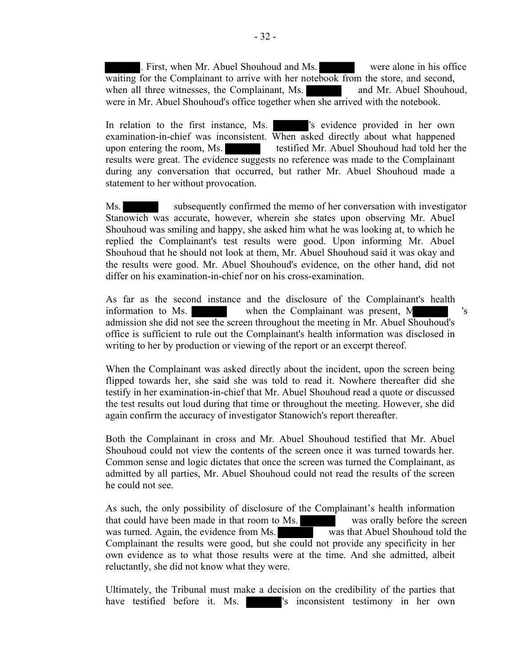. First, when Mr. Abuel Shouhoud and Ms. were alone in his office waiting for the Complainant to arrive with her notebook from the store, and second, when all three witnesses, the Complainant, Ms. and Mr. Abuel Shouhoud, were in Mr. Abuel Shouhoud's office together when she arrived with the notebook.

In relation to the first instance, Ms.  $\blacksquare$  's evidence provided in her own examination-in-chief was inconsistent. When asked directly about what happened upon entering the room, Ms. testified Mr. Abuel Shouhoud had told her the results were great. The evidence suggests no reference was made to the Complainant during any conversation that occurred, but rather Mr. Abuel Shouhoud made a statement to her without provocation.

Ms. subsequently confirmed the memo of her conversation with investigator Stanowich was accurate, however, wherein she states upon observing Mr. Abuel Shouhoud was smiling and happy, she asked him what he was looking at, to which he replied the Complainant's test results were good. Upon informing Mr. Abuel Shouhoud that he should not look at them, Mr. Abuel Shouhoud said it was okay and the results were good. Mr. Abuel Shouhoud's evidence, on the other hand, did not differ on his examination-in-chief nor on his cross-examination.

As far as the second instance and the disclosure of the Complainant's health information to Ms.  $\blacksquare$  when the Complainant was present, M admission she did not see the screen throughout the meeting in Mr. Abuel Shouhoud's office is sufficient to rule out the Complainant's health information was disclosed in writing to her by production or viewing of the report or an excerpt thereof.

When the Complainant was asked directly about the incident, upon the screen being flipped towards her, she said she was told to read it. Nowhere thereafter did she testify in her examination-in-chief that Mr. Abuel Shouhoud read a quote or discussed the test results out loud during that time or throughout the meeting. However, she did again confirm the accuracy of investigator Stanowich's report thereafter.

Both the Complainant in cross and Mr. Abuel Shouhoud testified that Mr. Abuel Shouhoud could not view the contents of the screen once it was turned towards her. Common sense and logic dictates that once the screen was turned the Complainant, as admitted by all parties, Mr. Abuel Shouhoud could not read the results of the screen he could not see.

As such, the only possibility of disclosure of the Complainant's health information that could have been made in that room to Ms. was orally before the screen was turned. Again, the evidence from Ms. was that Abuel Shouhoud told the Complainant the results were good, but she could not provide any specificity in her own evidence as to what those results were at the time. And she admitted, albeit reluctantly, she did not know what they were.

Ultimately, the Tribunal must make a decision on the credibility of the parties that have testified before it. Ms.  $\blacksquare$  's inconsistent testimony in her own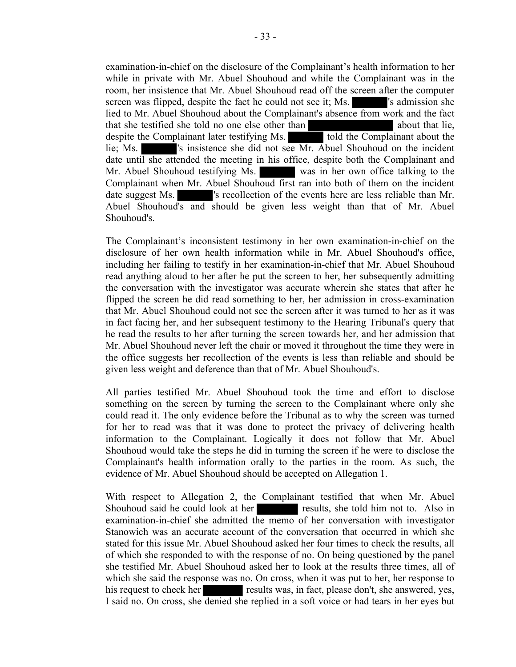examination-in-chief on the disclosure of the Complainant's health information to her while in private with Mr. Abuel Shouhoud and while the Complainant was in the room, her insistence that Mr. Abuel Shouhoud read off the screen after the computer screen was flipped, despite the fact he could not see it; Ms.  $\blacksquare$  's admission she lied to Mr. Abuel Shouhoud about the Complainant's absence from work and the fact that she testified she told no one else other than about that lie, despite the Complainant later testifying Ms. told the Complainant about the lie; Ms.  $\blacksquare$  's insistence she did not see Mr. Abuel Shouhoud on the incident date until she attended the meeting in his office, despite both the Complainant and Mr. Abuel Shouhoud testifying Ms. was in her own office talking to the Complainant when Mr. Abuel Shouhoud first ran into both of them on the incident date suggest Ms.  $\blacksquare$  's recollection of the events here are less reliable than Mr. Abuel Shouhoud's and should be given less weight than that of Mr. Abuel Shouhoud's.

The Complainant's inconsistent testimony in her own examination-in-chief on the disclosure of her own health information while in Mr. Abuel Shouhoud's office, including her failing to testify in her examination-in-chief that Mr. Abuel Shouhoud read anything aloud to her after he put the screen to her, her subsequently admitting the conversation with the investigator was accurate wherein she states that after he flipped the screen he did read something to her, her admission in cross-examination that Mr. Abuel Shouhoud could not see the screen after it was turned to her as it was in fact facing her, and her subsequent testimony to the Hearing Tribunal's query that he read the results to her after turning the screen towards her, and her admission that Mr. Abuel Shouhoud never left the chair or moved it throughout the time they were in the office suggests her recollection of the events is less than reliable and should be given less weight and deference than that of Mr. Abuel Shouhoud's.

All parties testified Mr. Abuel Shouhoud took the time and effort to disclose something on the screen by turning the screen to the Complainant where only she could read it. The only evidence before the Tribunal as to why the screen was turned for her to read was that it was done to protect the privacy of delivering health information to the Complainant. Logically it does not follow that Mr. Abuel Shouhoud would take the steps he did in turning the screen if he were to disclose the Complainant's health information orally to the parties in the room. As such, the evidence of Mr. Abuel Shouhoud should be accepted on Allegation 1.

With respect to Allegation 2, the Complainant testified that when Mr. Abuel Shouhoud said he could look at her results, she told him not to. Also in examination-in-chief she admitted the memo of her conversation with investigator Stanowich was an accurate account of the conversation that occurred in which she stated for this issue Mr. Abuel Shouhoud asked her four times to check the results, all of which she responded to with the response of no. On being questioned by the panel she testified Mr. Abuel Shouhoud asked her to look at the results three times, all of which she said the response was no. On cross, when it was put to her, her response to his request to check her results was, in fact, please don't, she answered, yes, I said no. On cross, she denied she replied in a soft voice or had tears in her eyes but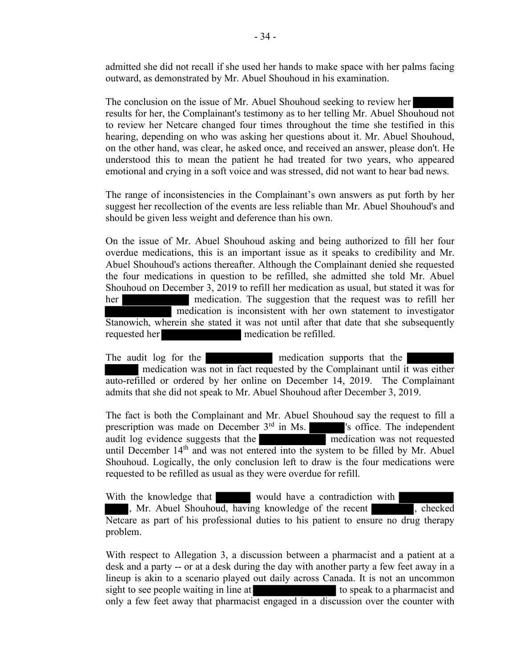admitted she did not recall if she used her hands to make space with her palms facing outward, as demonstrated by Mr. Abuel Shouhoud in his examination.

The conclusion on the issue of Mr. Abuel Shouhoud seeking to review her results for her, the Complainant's testimony as to her telling Mr. Abuel Shouhoud not to review her Netcare changed four times throughout the time she testified in this hearing, depending on who was asking her questions about it. Mr. Abuel Shouhoud, on the other hand, was clear, he asked once, and received an answer, please don't. He understood this to mean the patient he had treated for two years, who appeared emotional and crying in a soft voice and was stressed, did not want to hear bad news.

The range of inconsistencies in the Complainant's own answers as put forth by her suggest her recollection of the events are less reliable than Mr. Abuel Shouhoud's and should be given less weight and deference than his own.

On the issue of Mr. Abuel Shouhoud asking and being authorized to fill her four overdue medications, this is an important issue as it speaks to credibility and Mr. Abuel Shouhoud's actions thereafter. Although the Complainant denied she requested the four medications in question to be refilled, she admitted she told Mr. Abuel Shouhoud on December 3, 2019 to refill her medication as usual, but stated it was for her medication. The suggestion that the request was to refill her medication is inconsistent with her own statement to investigator Stanowich, wherein she stated it was not until after that date that she subsequently requested her medication be refilled.

The audit log for the medication supports that the medication was not in fact requested by the Complainant until it was either auto-refilled or ordered by her online on December 14, 2019. The Complainant admits that she did not speak to Mr. Abuel Shouhoud after December 3, 2019.

The fact is both the Complainant and Mr. Abuel Shouhoud say the request to fill a prescription was made on December 3<sup>rd</sup> in Ms. <sup>'</sup>s office. The independent audit log evidence suggests that the **startup in the independent** audit log evidence suggests that the medication was not requested until December 14<sup>th</sup> and was not entered into the system to be filled by Mr. Abuel Shouhoud. Logically, the only conclusion left to draw is the four medications were requested to be refilled as usual as they were overdue for refill.

With the knowledge that would have a contradiction with

, Mr. Abuel Shouhoud, having knowledge of the recent , checked Netcare as part of his professional duties to his patient to ensure no drug therapy problem.

With respect to Allegation 3, a discussion between a pharmacist and a patient at a desk and a party -- or at a desk during the day with another party a few feet away in a lineup is akin to a scenario played out daily across Canada. It is not an uncommon sight to see people waiting in line at the speak to a pharmacist and only a few feet away that pharmacist engaged in a discussion over the counter with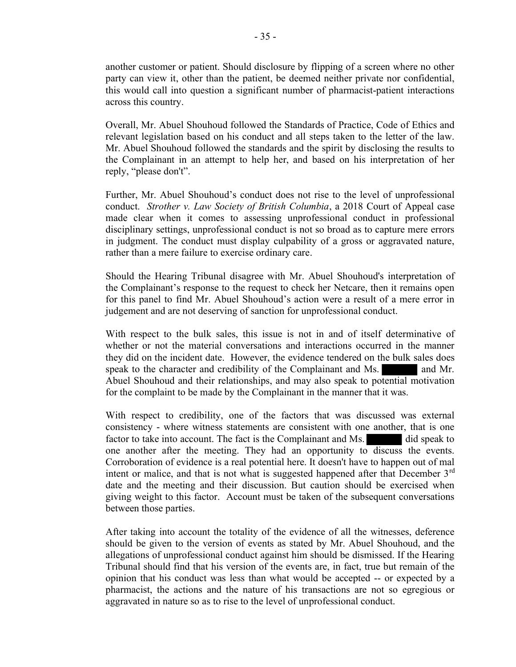another customer or patient. Should disclosure by flipping of a screen where no other party can view it, other than the patient, be deemed neither private nor confidential, this would call into question a significant number of pharmacist-patient interactions across this country.

Overall, Mr. Abuel Shouhoud followed the Standards of Practice, Code of Ethics and relevant legislation based on his conduct and all steps taken to the letter of the law. Mr. Abuel Shouhoud followed the standards and the spirit by disclosing the results to the Complainant in an attempt to help her, and based on his interpretation of her reply, "please don't".

Further, Mr. Abuel Shouhoud's conduct does not rise to the level of unprofessional conduct. Strother v. Law Society of British Columbia, a 2018 Court of Appeal case made clear when it comes to assessing unprofessional conduct in professional disciplinary settings, unprofessional conduct is not so broad as to capture mere errors in judgment. The conduct must display culpability of a gross or aggravated nature, rather than a mere failure to exercise ordinary care.

Should the Hearing Tribunal disagree with Mr. Abuel Shouhoud's interpretation of the Complainant's response to the request to check her Netcare, then it remains open for this panel to find Mr. Abuel Shouhoud's action were a result of a mere error in judgement and are not deserving of sanction for unprofessional conduct.

With respect to the bulk sales, this issue is not in and of itself determinative of whether or not the material conversations and interactions occurred in the manner they did on the incident date. However, the evidence tendered on the bulk sales does speak to the character and credibility of the Complainant and Ms. **and Mr.** Abuel Shouhoud and their relationships, and may also speak to potential motivation for the complaint to be made by the Complainant in the manner that it was.

With respect to credibility, one of the factors that was discussed was external consistency - where witness statements are consistent with one another, that is one factor to take into account. The fact is the Complainant and Ms. did speak to one another after the meeting. They had an opportunity to discuss the events. Corroboration of evidence is a real potential here. It doesn't have to happen out of mal intent or malice, and that is not what is suggested happened after that December  $3<sup>rd</sup>$ date and the meeting and their discussion. But caution should be exercised when giving weight to this factor. Account must be taken of the subsequent conversations between those parties.

After taking into account the totality of the evidence of all the witnesses, deference should be given to the version of events as stated by Mr. Abuel Shouhoud, and the allegations of unprofessional conduct against him should be dismissed. If the Hearing Tribunal should find that his version of the events are, in fact, true but remain of the opinion that his conduct was less than what would be accepted -- or expected by a pharmacist, the actions and the nature of his transactions are not so egregious or aggravated in nature so as to rise to the level of unprofessional conduct.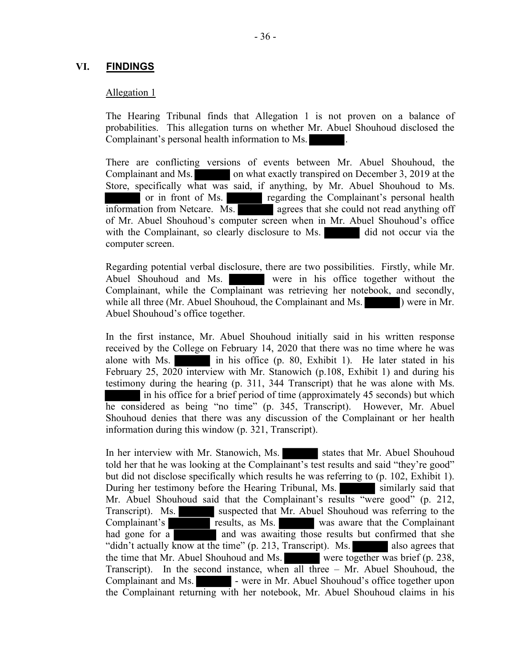## VI. FINDINGS

#### Allegation 1

The Hearing Tribunal finds that Allegation 1 is not proven on a balance of probabilities. This allegation turns on whether Mr. Abuel Shouhoud disclosed the Complainant's personal health information to Ms. .

There are conflicting versions of events between Mr. Abuel Shouhoud, the Complainant and Ms. on what exactly transpired on December 3, 2019 at the Store, specifically what was said, if anything, by Mr. Abuel Shouhoud to Ms. or in front of Ms. regarding the Complainant's personal health information from Netcare. Ms. agrees that she could not read anything off of Mr. Abuel Shouhoud's computer screen when in Mr. Abuel Shouhoud's office with the Complainant, so clearly disclosure to Ms. did not occur via the computer screen.

Regarding potential verbal disclosure, there are two possibilities. Firstly, while Mr. Abuel Shouhoud and Ms. were in his office together without the Complainant, while the Complainant was retrieving her notebook, and secondly, while all three (Mr. Abuel Shouhoud, the Complainant and Ms. ) were in Mr. Abuel Shouhoud's office together.

In the first instance, Mr. Abuel Shouhoud initially said in his written response received by the College on February 14, 2020 that there was no time where he was alone with Ms. in his office (p. 80, Exhibit 1). He later stated in his February 25, 2020 interview with Mr. Stanowich (p.108, Exhibit 1) and during his testimony during the hearing (p. 311, 344 Transcript) that he was alone with Ms. in his office for a brief period of time (approximately 45 seconds) but which he considered as being "no time" (p. 345, Transcript). However, Mr. Abuel Shouhoud denies that there was any discussion of the Complainant or her health information during this window (p. 321, Transcript).

In her interview with Mr. Stanowich, Ms. states that Mr. Abuel Shouhoud told her that he was looking at the Complainant's test results and said "they're good" but did not disclose specifically which results he was referring to (p. 102, Exhibit 1). During her testimony before the Hearing Tribunal, Ms. similarly said that Mr. Abuel Shouhoud said that the Complainant's results "were good" (p. 212, Transcript). Ms. suspected that Mr. Abuel Shouhoud was referring to the Complainant's results, as Ms. was aware that the Complainant<br>had gone for a and was awaiting those results but confirmed that she had gone for a and was awaiting those results but confirmed that she "didn't actually know at the time" (p. 213, Transcript). Ms.  $\blacksquare$  also agrees that the time that Mr. Abuel Shouhoud and Ms. were together was brief (p. 238, Transcript). In the second instance, when all three – Mr. Abuel Shouhoud, the Complainant and Ms. - were in Mr. Abuel Shouhoud's office together upon the Complainant returning with her notebook, Mr. Abuel Shouhoud claims in his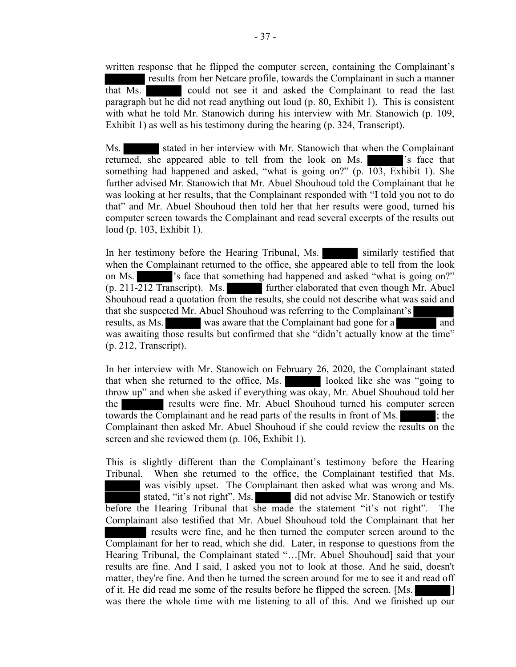written response that he flipped the computer screen, containing the Complainant's results from her Netcare profile, towards the Complainant in such a manner that Ms. could not see it and asked the Complainant to read the last paragraph but he did not read anything out loud (p. 80, Exhibit 1). This is consistent with what he told Mr. Stanowich during his interview with Mr. Stanowich (p. 109, Exhibit 1) as well as his testimony during the hearing (p. 324, Transcript).

Ms. stated in her interview with Mr. Stanowich that when the Complainant returned, she appeared able to tell from the look on Ms. 's face that something had happened and asked, "what is going on?" (p. 103, Exhibit 1). She further advised Mr. Stanowich that Mr. Abuel Shouhoud told the Complainant that he was looking at her results, that the Complainant responded with "I told you not to do that" and Mr. Abuel Shouhoud then told her that her results were good, turned his computer screen towards the Complainant and read several excerpts of the results out loud (p. 103, Exhibit 1).

In her testimony before the Hearing Tribunal, Ms. similarly testified that when the Complainant returned to the office, she appeared able to tell from the look on Ms. 's face that something had happened and asked "what is going on?" (p. 211-212 Transcript). Ms. further elaborated that even though Mr. Abuel Shouhoud read a quotation from the results, she could not describe what was said and that she suspected Mr. Abuel Shouhoud was referring to the Complainant's results, as Ms. was aware that the Complainant had gone for a and was awaiting those results but confirmed that she "didn't actually know at the time" (p. 212, Transcript).

In her interview with Mr. Stanowich on February 26, 2020, the Complainant stated that when she returned to the office, Ms. looked like she was "going to throw up" and when she asked if everything was okay, Mr. Abuel Shouhoud told her the results were fine. Mr. Abuel Shouhoud turned his computer screen towards the Complainant and he read parts of the results in front of Ms. ; the Complainant then asked Mr. Abuel Shouhoud if she could review the results on the screen and she reviewed them (p. 106, Exhibit 1).

This is slightly different than the Complainant's testimony before the Hearing Tribunal. When she returned to the office, the Complainant testified that Ms. was visibly upset. The Complainant then asked what was wrong and Ms. stated, "it's not right". Ms. did not advise Mr. Stanowich or testify before the Hearing Tribunal that she made the statement "it's not right". The Complainant also testified that Mr. Abuel Shouhoud told the Complainant that her results were fine, and he then turned the computer screen around to the Complainant for her to read, which she did. Later, in response to questions from the Hearing Tribunal, the Complainant stated "…[Mr. Abuel Shouhoud] said that your results are fine. And I said, I asked you not to look at those. And he said, doesn't matter, they're fine. And then he turned the screen around for me to see it and read off of it. He did read me some of the results before he flipped the screen. [Ms. ] was there the whole time with me listening to all of this. And we finished up our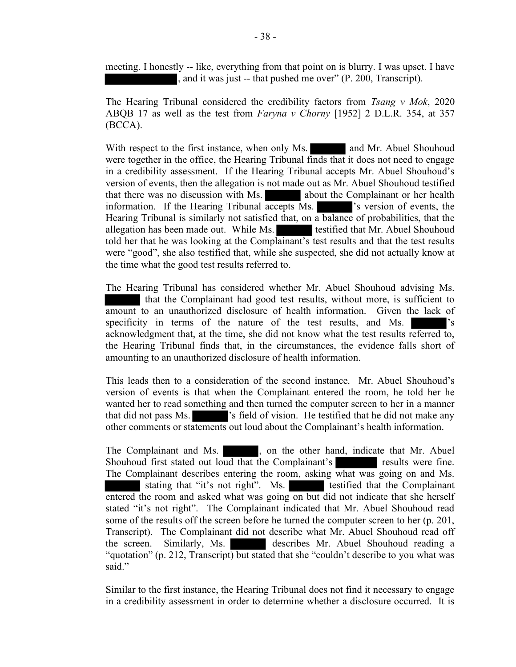meeting. I honestly -- like, everything from that point on is blurry. I was upset. I have , and it was just -- that pushed me over" (P. 200, Transcript).

The Hearing Tribunal considered the credibility factors from Tsang  $v$  Mok, 2020 ABQB 17 as well as the test from Faryna v Chorny [1952] 2 D.L.R. 354, at 357 (BCCA).

With respect to the first instance, when only Ms. and Mr. Abuel Shouhoud were together in the office, the Hearing Tribunal finds that it does not need to engage in a credibility assessment. If the Hearing Tribunal accepts Mr. Abuel Shouhoud's version of events, then the allegation is not made out as Mr. Abuel Shouhoud testified that there was no discussion with Ms. about the Complainant or her health information. If the Hearing Tribunal accepts Ms.  $\blacksquare$  's version of events, the Hearing Tribunal is similarly not satisfied that, on a balance of probabilities, that the allegation has been made out. While Ms. testified that Mr. Abuel Shouhoud told her that he was looking at the Complainant's test results and that the test results were "good", she also testified that, while she suspected, she did not actually know at the time what the good test results referred to.

The Hearing Tribunal has considered whether Mr. Abuel Shouhoud advising Ms. that the Complainant had good test results, without more, is sufficient to amount to an unauthorized disclosure of health information. Given the lack of specificity in terms of the nature of the test results, and Ms.  $\cdot$  's acknowledgment that, at the time, she did not know what the test results referred to, the Hearing Tribunal finds that, in the circumstances, the evidence falls short of amounting to an unauthorized disclosure of health information.

This leads then to a consideration of the second instance. Mr. Abuel Shouhoud's version of events is that when the Complainant entered the room, he told her he wanted her to read something and then turned the computer screen to her in a manner that did not pass Ms. 's field of vision. He testified that he did not make any other comments or statements out loud about the Complainant's health information.

The Complainant and Ms. , on the other hand, indicate that Mr. Abuel Shouhoud first stated out loud that the Complainant's results were fine. The Complainant describes entering the room, asking what was going on and Ms. stating that "it's not right". Ms. testified that the Complainant entered the room and asked what was going on but did not indicate that she herself stated "it's not right". The Complainant indicated that Mr. Abuel Shouhoud read some of the results off the screen before he turned the computer screen to her (p. 201, Transcript). The Complainant did not describe what Mr. Abuel Shouhoud read off the screen. Similarly, Ms. describes Mr. Abuel Shouhoud reading a "quotation" (p. 212, Transcript) but stated that she "couldn't describe to you what was said."

Similar to the first instance, the Hearing Tribunal does not find it necessary to engage in a credibility assessment in order to determine whether a disclosure occurred. It is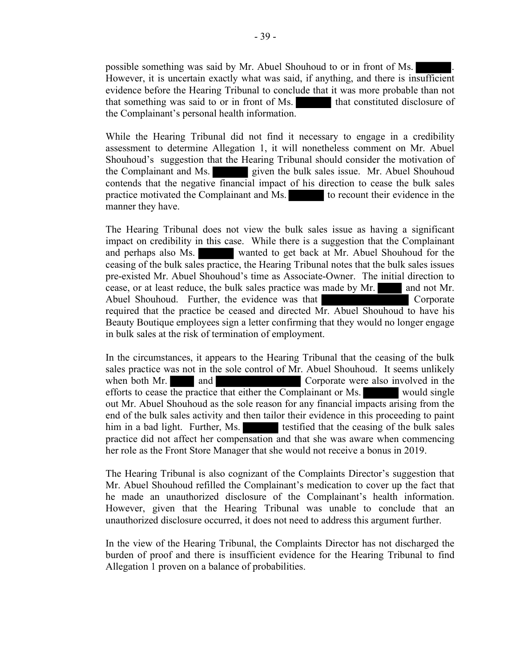possible something was said by Mr. Abuel Shouhoud to or in front of Ms. . However, it is uncertain exactly what was said, if anything, and there is insufficient evidence before the Hearing Tribunal to conclude that it was more probable than not that something was said to or in front of Ms. that constituted disclosure of the Complainant's personal health information.

While the Hearing Tribunal did not find it necessary to engage in a credibility assessment to determine Allegation 1, it will nonetheless comment on Mr. Abuel Shouhoud's suggestion that the Hearing Tribunal should consider the motivation of the Complainant and Ms. given the bulk sales issue. Mr. Abuel Shouhoud contends that the negative financial impact of his direction to cease the bulk sales practice motivated the Complainant and Ms. to recount their evidence in the manner they have.

The Hearing Tribunal does not view the bulk sales issue as having a significant impact on credibility in this case. While there is a suggestion that the Complainant and perhaps also Ms. wanted to get back at Mr. Abuel Shouhoud for the ceasing of the bulk sales practice, the Hearing Tribunal notes that the bulk sales issues pre-existed Mr. Abuel Shouhoud's time as Associate-Owner. The initial direction to cease, or at least reduce, the bulk sales practice was made by Mr. and not Mr. Abuel Shouhoud. Further, the evidence was that Corporate Corporate required that the practice be ceased and directed Mr. Abuel Shouhoud to have his Beauty Boutique employees sign a letter confirming that they would no longer engage in bulk sales at the risk of termination of employment.

In the circumstances, it appears to the Hearing Tribunal that the ceasing of the bulk sales practice was not in the sole control of Mr. Abuel Shouhoud. It seems unlikely when both Mr. and and Corporate were also involved in the efforts to cease the practice that either the Complainant or Ms. would single out Mr. Abuel Shouhoud as the sole reason for any financial impacts arising from the end of the bulk sales activity and then tailor their evidence in this proceeding to paint him in a bad light. Further, Ms. testified that the ceasing of the bulk sales practice did not affect her compensation and that she was aware when commencing her role as the Front Store Manager that she would not receive a bonus in 2019.

The Hearing Tribunal is also cognizant of the Complaints Director's suggestion that Mr. Abuel Shouhoud refilled the Complainant's medication to cover up the fact that he made an unauthorized disclosure of the Complainant's health information. However, given that the Hearing Tribunal was unable to conclude that an unauthorized disclosure occurred, it does not need to address this argument further.

In the view of the Hearing Tribunal, the Complaints Director has not discharged the burden of proof and there is insufficient evidence for the Hearing Tribunal to find Allegation 1 proven on a balance of probabilities.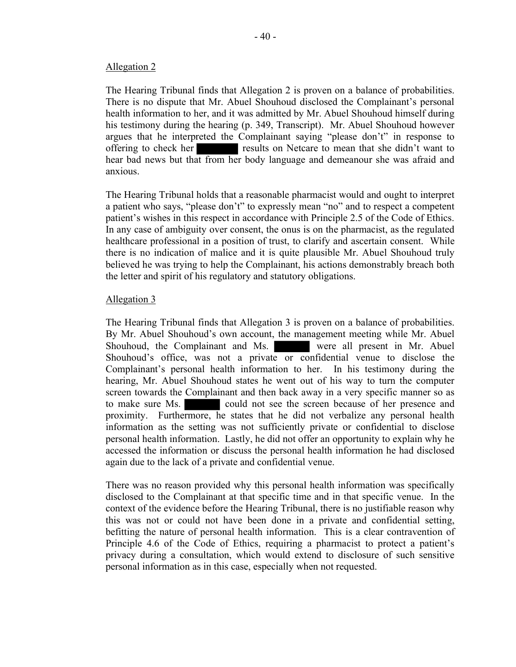#### Allegation 2

The Hearing Tribunal finds that Allegation 2 is proven on a balance of probabilities. There is no dispute that Mr. Abuel Shouhoud disclosed the Complainant's personal health information to her, and it was admitted by Mr. Abuel Shouhoud himself during his testimony during the hearing (p. 349, Transcript). Mr. Abuel Shouhoud however argues that he interpreted the Complainant saying "please don't" in response to offering to check her results on Netcare to mean that she didn't want to hear bad news but that from her body language and demeanour she was afraid and anxious.

The Hearing Tribunal holds that a reasonable pharmacist would and ought to interpret a patient who says, "please don't" to expressly mean "no" and to respect a competent patient's wishes in this respect in accordance with Principle 2.5 of the Code of Ethics. In any case of ambiguity over consent, the onus is on the pharmacist, as the regulated healthcare professional in a position of trust, to clarify and ascertain consent. While there is no indication of malice and it is quite plausible Mr. Abuel Shouhoud truly believed he was trying to help the Complainant, his actions demonstrably breach both the letter and spirit of his regulatory and statutory obligations.

## Allegation 3

The Hearing Tribunal finds that Allegation 3 is proven on a balance of probabilities. By Mr. Abuel Shouhoud's own account, the management meeting while Mr. Abuel Shouhoud, the Complainant and Ms. were all present in Mr. Abuel Shouhoud's office, was not a private or confidential venue to disclose the Complainant's personal health information to her. In his testimony during the hearing, Mr. Abuel Shouhoud states he went out of his way to turn the computer screen towards the Complainant and then back away in a very specific manner so as to make sure Ms. could not see the screen because of her presence and proximity. Furthermore, he states that he did not verbalize any personal health information as the setting was not sufficiently private or confidential to disclose personal health information. Lastly, he did not offer an opportunity to explain why he accessed the information or discuss the personal health information he had disclosed again due to the lack of a private and confidential venue.

There was no reason provided why this personal health information was specifically disclosed to the Complainant at that specific time and in that specific venue. In the context of the evidence before the Hearing Tribunal, there is no justifiable reason why this was not or could not have been done in a private and confidential setting, befitting the nature of personal health information. This is a clear contravention of Principle 4.6 of the Code of Ethics, requiring a pharmacist to protect a patient's privacy during a consultation, which would extend to disclosure of such sensitive personal information as in this case, especially when not requested.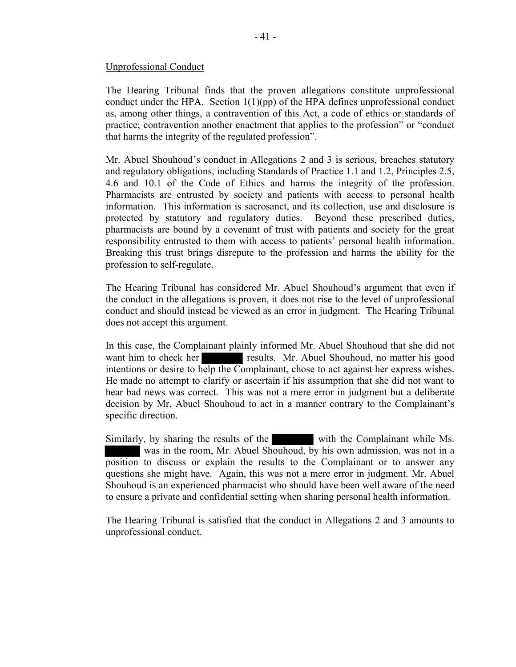#### Unprofessional Conduct

The Hearing Tribunal finds that the proven allegations constitute unprofessional conduct under the HPA. Section  $1(1)(pp)$  of the HPA defines unprofessional conduct as, among other things, a contravention of this Act, a code of ethics or standards of practice; contravention another enactment that applies to the profession" or "conduct that harms the integrity of the regulated profession".

Mr. Abuel Shouhoud's conduct in Allegations 2 and 3 is serious, breaches statutory and regulatory obligations, including Standards of Practice 1.1 and 1.2, Principles 2.5, 4.6 and 10.1 of the Code of Ethics and harms the integrity of the profession. Pharmacists are entrusted by society and patients with access to personal health information. This information is sacrosanct, and its collection, use and disclosure is protected by statutory and regulatory duties. Beyond these prescribed duties, pharmacists are bound by a covenant of trust with patients and society for the great responsibility entrusted to them with access to patients' personal health information. Breaking this trust brings disrepute to the profession and harms the ability for the profession to self-regulate.

The Hearing Tribunal has considered Mr. Abuel Shouhoud's argument that even if the conduct in the allegations is proven, it does not rise to the level of unprofessional conduct and should instead be viewed as an error in judgment. The Hearing Tribunal does not accept this argument.

In this case, the Complainant plainly informed Mr. Abuel Shouhoud that she did not want him to check her results. Mr. Abuel Shouhoud, no matter his good intentions or desire to help the Complainant, chose to act against her express wishes. He made no attempt to clarify or ascertain if his assumption that she did not want to hear bad news was correct. This was not a mere error in judgment but a deliberate decision by Mr. Abuel Shouhoud to act in a manner contrary to the Complainant's specific direction.

Similarly, by sharing the results of the with the Complainant while Ms. was in the room, Mr. Abuel Shouhoud, by his own admission, was not in a position to discuss or explain the results to the Complainant or to answer any questions she might have. Again, this was not a mere error in judgment. Mr. Abuel Shouhoud is an experienced pharmacist who should have been well aware of the need to ensure a private and confidential setting when sharing personal health information.

The Hearing Tribunal is satisfied that the conduct in Allegations 2 and 3 amounts to unprofessional conduct.